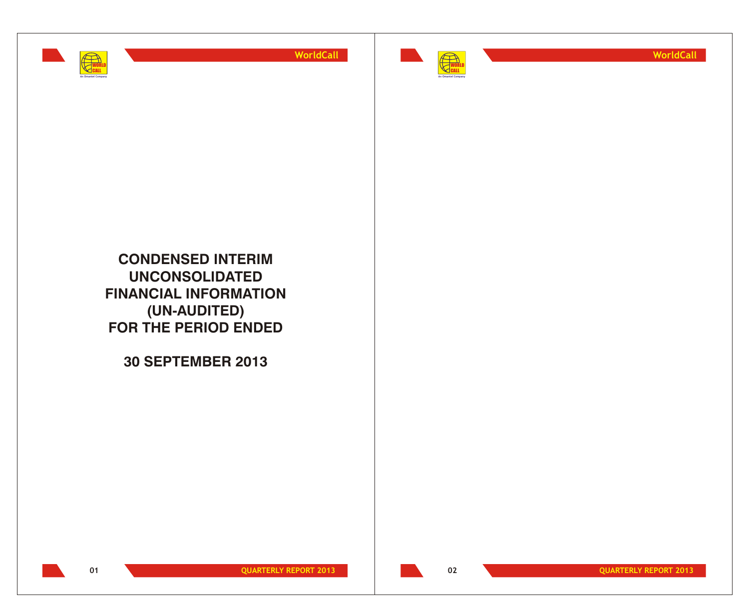



**WorldCall**

**CONDENSED INTERIM UNCONSOLIDATED FINANCIAL INFORMATION (UN-AUDITED) FOR THE PERIOD ENDED**

**30 SEPTEMBER 2013**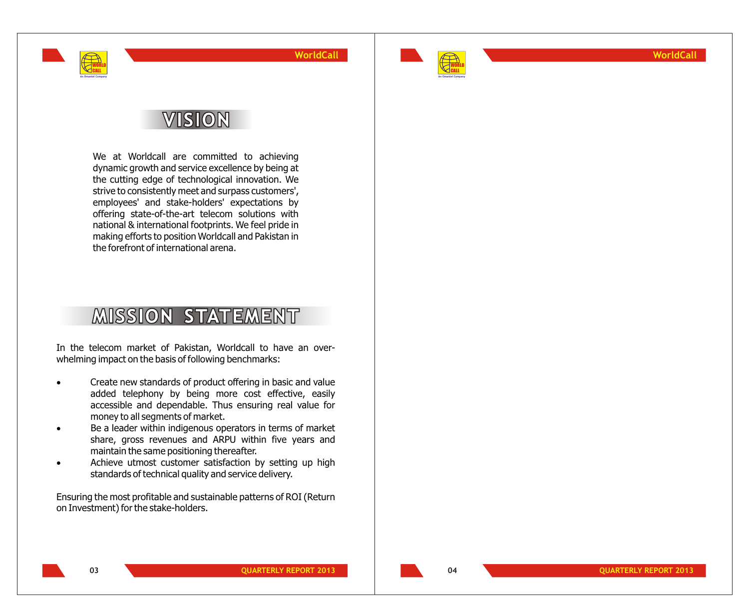

**WorldCall**

## **VISION**

WORLD CALL **An Omantel Company**

> We at Worldcall are committed to achieving dynamic growth and service excellence by being at the cutting edge of technological innovation. We strive to consistently meet and surpass customers', employees' and stake-holders' expectations by offering state-of-the-art telecom solutions with national & international footprints. We feel pride in making efforts to position Worldcall and Pakistan in the forefront of international arena.

# **MISSION STATEMENT**

In the telecom market of Pakistan, Worldcall to have an overwhelming impact on the basis of following benchmarks:

- Create new standards of product offering in basic and value added telephony by being more cost effective, easily accessible and dependable. Thus ensuring real value for money to all segments of market.
- Be a leader within indigenous operators in terms of market share, gross revenues and ARPU within five years and maintain the same positioning thereafter.
- Achieve utmost customer satisfaction by setting up high standards of technical quality and service delivery.

Ensuring the most profitable and sustainable patterns of ROI (Return on Investment) for the stake-holders.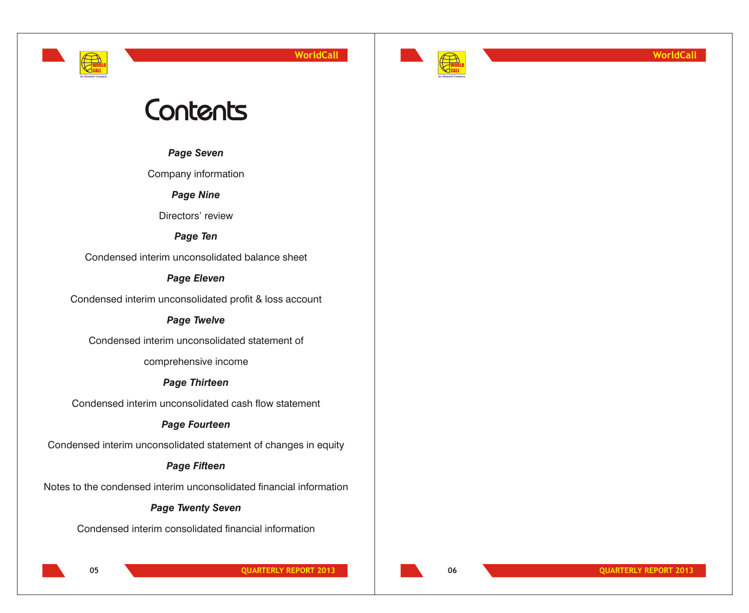



**WorldCall**

# Contents

*Page Seven*

Company information

*Page Nine*

Directors' review

*Page Ten*

Condensed interim unconsolidated balance sheet

### *Page Eleven*

Condensed interim unconsolidated profit & loss account

### *Page Twelve*

Condensed interim unconsolidated statement of

comprehensive income

### *Page Thirteen*

Condensed interim unconsolidated cash flow statement

### *Page Fourteen*

Condensed interim unconsolidated statement of changes in equity

### *Page Fifteen*

Notes to the condensed interim unconsolidated financial information

### *Page Twenty Seven*

Condensed interim consolidated financial information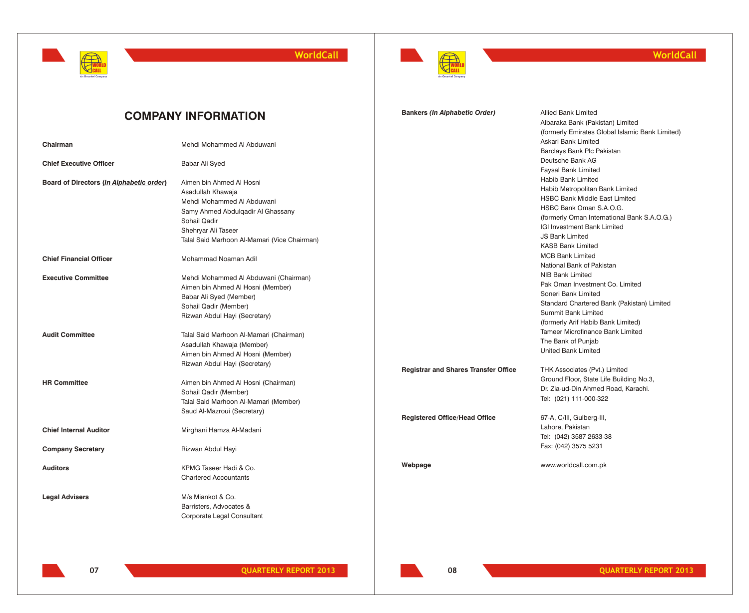



**Bankers** *(In Alphabetic Order)* Allied Bank Limited

Albaraka Bank (Pakistan) Limited

### **WorldCall**

### **COMPANY INFORMATION**

|                                          |                                              |                                             | (formerly Emirates Global Islamic Bank Limited)<br>Askari Bank Limited |
|------------------------------------------|----------------------------------------------|---------------------------------------------|------------------------------------------------------------------------|
| Chairman                                 | Mehdi Mohammed Al Abduwani                   |                                             | Barclays Bank Plc Pakistan                                             |
|                                          |                                              |                                             | Deutsche Bank AG                                                       |
| <b>Chief Executive Officer</b>           | Babar Ali Syed                               |                                             | <b>Faysal Bank Limited</b>                                             |
|                                          | Aimen bin Ahmed Al Hosni                     |                                             | Habib Bank Limited                                                     |
| Board of Directors (In Alphabetic order) | Asadullah Khawaja                            |                                             | Habib Metropolitan Bank Limited                                        |
|                                          | Mehdi Mohammed Al Abduwani                   |                                             | <b>HSBC Bank Middle East Limited</b>                                   |
|                                          | Samy Ahmed Abdulgadir Al Ghassany            |                                             | HSBC Bank Oman S.A.O.G.                                                |
|                                          | Sohail Qadir                                 |                                             | (formerly Oman International Bank S.A.O.G.)                            |
|                                          | Shehryar Ali Taseer                          |                                             | IGI Investment Bank Limited                                            |
|                                          | Talal Said Marhoon Al-Mamari (Vice Chairman) |                                             | <b>JS Bank Limited</b>                                                 |
|                                          |                                              |                                             | <b>KASB Bank Limited</b>                                               |
| <b>Chief Financial Officer</b>           | Mohammad Noaman Adil                         |                                             | <b>MCB Bank Limited</b>                                                |
|                                          |                                              |                                             | National Bank of Pakistan                                              |
| <b>Executive Committee</b>               | Mehdi Mohammed Al Abduwani (Chairman)        |                                             | NIB Bank Limited                                                       |
|                                          | Aimen bin Ahmed Al Hosni (Member)            |                                             | Pak Oman Investment Co. Limited                                        |
|                                          | Babar Ali Syed (Member)                      |                                             | Soneri Bank Limited                                                    |
|                                          | Sohail Qadir (Member)                        |                                             | Standard Chartered Bank (Pakistan) Limited                             |
|                                          | Rizwan Abdul Hayi (Secretary)                |                                             | Summit Bank Limited                                                    |
|                                          |                                              |                                             | (formerly Arif Habib Bank Limited)                                     |
| <b>Audit Committee</b>                   | Talal Said Marhoon Al-Mamari (Chairman)      |                                             | <b>Tameer Microfinance Bank Limited</b>                                |
|                                          | Asadullah Khawaja (Member)                   |                                             | The Bank of Punjab                                                     |
|                                          | Aimen bin Ahmed Al Hosni (Member)            |                                             | United Bank Limited                                                    |
|                                          | Rizwan Abdul Hayi (Secretary)                |                                             |                                                                        |
|                                          |                                              | <b>Registrar and Shares Transfer Office</b> | THK Associates (Pvt.) Limited                                          |
| <b>HR Committee</b>                      | Aimen bin Ahmed Al Hosni (Chairman)          |                                             | Ground Floor, State Life Building No.3,                                |
|                                          | Sohail Qadir (Member)                        |                                             | Dr. Zia-ud-Din Ahmed Road, Karachi.                                    |
|                                          | Talal Said Marhoon Al-Mamari (Member)        |                                             | Tel: (021) 111-000-322                                                 |
|                                          | Saud Al-Mazroui (Secretary)                  | <b>Registered Office/Head Office</b>        | 67-A, C/III, Gulberg-III,                                              |
|                                          |                                              |                                             | Lahore, Pakistan                                                       |
| <b>Chief Internal Auditor</b>            | Mirghani Hamza Al-Madani                     |                                             | Tel: (042) 3587 2633-38                                                |
|                                          |                                              |                                             | Fax: (042) 3575 5231                                                   |
| <b>Company Secretary</b>                 | Rizwan Abdul Hayi                            |                                             |                                                                        |
|                                          |                                              | Webpage                                     | www.worldcall.com.pk                                                   |
| <b>Auditors</b>                          | KPMG Taseer Hadi & Co.                       |                                             |                                                                        |
|                                          | <b>Chartered Accountants</b>                 |                                             |                                                                        |
| <b>Legal Advisers</b>                    | M/s Miankot & Co.                            |                                             |                                                                        |
|                                          | Barristers, Advocates &                      |                                             |                                                                        |
|                                          | Corporate Legal Consultant                   |                                             |                                                                        |
|                                          |                                              |                                             |                                                                        |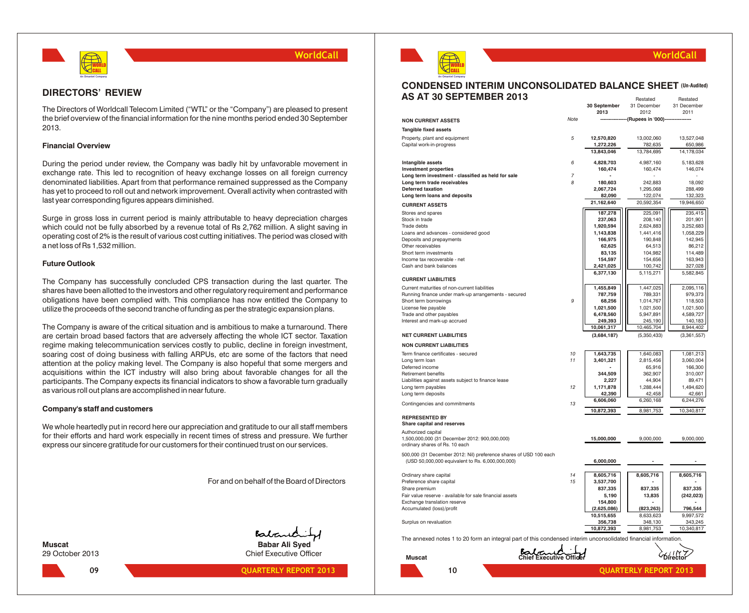

### **DIRECTORS' REVIEW**

The Directors of Worldcall Telecom Limited ("WTL" or the "Company") are pleased to present the brief overview of the financial information for the nine months period ended 30 September 2013.

### **Financial Overview**

During the period under review, the Company was badly hit by unfavorable movement in exchange rate. This led to recognition of heavy exchange losses on all foreign currency denominated liabilities. Apart from that performance remained suppressed as the Company has yet to proceed to roll out and network improvement. Overall activity when contrasted with last year corresponding figures appears diminished.

Surge in gross loss in current period is mainly attributable to heavy depreciation charges which could not be fully absorbed by a revenue total of Rs 2,762 million. A slight saving in operating cost of 2% is the result of various cost cutting initiatives. The period was closed with a net loss of Rs 1,532 million.

### **Future Outlook**

The Company has successfully concluded CPS transaction during the last quarter. The shares have been allotted to the investors and other regulatory requirement and performance obligations have been complied with. This compliance has now entitled the Company to utilize the proceeds of the second tranche of funding as per the strategic expansion plans.

The Company is aware of the critical situation and is ambitious to make a turnaround. There are certain broad based factors that are adversely affecting the whole ICT sector. Taxation regime making telecommunication services costly to public, decline in foreign investment, soaring cost of doing business with falling ARPUs, etc are some of the factors that need attention at the policy making level. The Company is also hopeful that some mergers and acquisitions within the ICT industry will also bring about favorable changes for all the participants. The Company expects its financial indicators to show a favorable turn gradually as various roll out plans are accomplished in near future.

### **Company's staff and customers**

We whole heartedly put in record here our appreciation and gratitude to our all staff members for their efforts and hard work especially in recent times of stress and pressure. We further express our sincere gratitude for our customers for their continued trust on our services.

For and on behalf of the Board of Directors

**09**

Babard **Muscat Babar Ali Syed** 29 October 2013 Chief Executive Officer

### **QUARTERLY REPORT 2013 QUARTERLY REPORT 2013**



#### **CONDENSED INTERIM UNCONSOLIDATED BALANCE SHEET (Un-Audited)AS AT 30 SEPTEMBER 2013** Restated Restated

|                                                                                                                 |                                | 30 September<br>2013   | nesiateu<br>31 December<br>2012 | nesialeu<br>31 December<br>2011 |
|-----------------------------------------------------------------------------------------------------------------|--------------------------------|------------------------|---------------------------------|---------------------------------|
| <b>NON CURRENT ASSETS</b>                                                                                       | Note                           |                        | (Rupees in '000)-               |                                 |
| Tangible fixed assets                                                                                           |                                |                        |                                 |                                 |
| Property, plant and equipment                                                                                   | 5                              | 12,570,820             | 13,002,060                      | 13,527,048                      |
| Capital work-in-progress                                                                                        |                                | 1,272,226              | 782,635                         | 650,986                         |
|                                                                                                                 |                                | 13,843,046             | 13,784,695                      | 14,178,034                      |
| Intangible assets                                                                                               | 6                              | 4,828,703              | 4,987,160                       | 5,183,628                       |
| <b>Investment properties</b>                                                                                    | 7                              | 160,474                | 160,474                         | 146,074                         |
| Long term investment - classified as held for sale<br>Long term trade receivables                               | 8                              | 180,603                | 242,883                         | 18,092                          |
| <b>Deferred taxation</b>                                                                                        |                                | 2,067,724              | 1,295,068                       | 288,499                         |
| Long term loans and deposits                                                                                    |                                | 82,090                 | 122,074                         | 132,323                         |
| <b>CURRENT ASSETS</b>                                                                                           |                                | 21,162,640             | 20,592,354                      | 19,946,650                      |
| Stores and spares                                                                                               |                                | 187,278                | 225,091                         | 235,415                         |
| Stock in trade<br>Trade debts                                                                                   |                                | 237,063<br>1,920,594   | 208,140<br>2,624,883            | 201,901<br>3,252,683            |
| Loans and advances - considered good                                                                            |                                | 1,143,838              | 1,441,416                       | 1,058,229                       |
| Deposits and prepayments                                                                                        |                                | 166,975                | 190,848                         | 142,945                         |
| Other receivables<br>Short term investments                                                                     |                                | 62,625<br>83,135       | 64,513<br>104,982               | 86,212<br>114,489               |
| Income tax recoverable - net                                                                                    |                                | 154,597                | 154,656                         | 163,943                         |
| Cash and bank balances                                                                                          |                                | 2,421,025              | 100,742                         | 327,028                         |
|                                                                                                                 |                                | 6,377,130              | 5,115,271                       | 5,582,845                       |
| <b>CURRENT LIABILITIES</b>                                                                                      |                                |                        |                                 |                                 |
| Current maturities of non-current liabilities<br>Running finance under mark-up arrangements - secured           |                                | 1,455,849<br>787,759   | 1,447,025<br>789,331            | 2,095,116<br>979,373            |
| Short term borrowings                                                                                           | 9                              | 68,256                 | 1,014,767                       | 118,503                         |
| License fee payable                                                                                             |                                | 1,021,500              | 1,021,500                       | 1,021,500                       |
| Trade and other payables                                                                                        |                                | 6,478,560              | 5,947,891<br>245,190            | 4,589,727                       |
| Interest and mark-up accrued                                                                                    |                                | 249,393<br>10,061,317  | 10,465,704                      | 140,183<br>8,944,402            |
| <b>NET CURRENT LIABILITIES</b>                                                                                  |                                | (3,684,187)            | (5,350,433)                     | (3,361,557)                     |
| <b>NON CURRENT LIABILITIES</b>                                                                                  |                                |                        |                                 |                                 |
| Term finance certificates - secured                                                                             | 10                             | 1,643,735              | 1,640,083                       | 1,081,213                       |
| Long term loan                                                                                                  | 11                             | 3,401,321              | 2,815,456                       | 3,060,004                       |
| Deferred income                                                                                                 |                                |                        | 65,916                          | 166,300                         |
| Retirement benefits<br>Liabilities against assets subject to finance lease                                      |                                | 344,509<br>2,227       | 362,907<br>44,904               | 310,007<br>89,471               |
| Long term payables                                                                                              | 12                             | 1,171,878              | 1,288,444                       | 1,494,620                       |
| Long term deposits                                                                                              |                                | 42,390                 | 42,458                          | 42,661                          |
| Contingencies and commitments                                                                                   | 13                             | 6,606,060              | 6,260,168                       | 6,244,276                       |
|                                                                                                                 |                                | 10,872,393             | 8,981,753                       | 10,340,817                      |
| <b>REPRESENTED BY</b><br>Share capital and reserves                                                             |                                |                        |                                 |                                 |
| Authorized capital                                                                                              |                                |                        |                                 |                                 |
| 1,500,000,000 (31 December 2012: 900,000,000)                                                                   |                                | 15,000,000             | 9,000,000                       | 9,000,000                       |
| ordinary shares of Rs. 10 each                                                                                  |                                |                        |                                 |                                 |
| 500,000 (31 December 2012: Nil) preference shares of USD 100 each                                               |                                |                        |                                 |                                 |
| (USD 50,000,000 equivalent to Rs. 6,000,000,000)                                                                |                                | 6,000,000              |                                 |                                 |
| Ordinary share capital                                                                                          | 14                             | 8,605,716              | 8,605,716                       | 8,605,716                       |
| Preference share capital                                                                                        | 15                             | 3,537,700              |                                 |                                 |
| Share premium                                                                                                   |                                | 837,335                | 837,335                         | 837,335                         |
| Fair value reserve - available for sale financial assets                                                        |                                | 5,190                  | 13,835                          | (242, 023)                      |
| Exchange translation reserve<br>Accumulated (loss)/profit                                                       |                                | 154,800<br>(2,625,086) | (823, 263)                      | 796,544                         |
|                                                                                                                 |                                | 10,515,655             | 8,633,623                       | 9,997,572                       |
| Surplus on revaluation                                                                                          |                                | 356,738                | 348,130                         | 343,245                         |
|                                                                                                                 |                                | 10,872,393             | 8,981,753                       | 10,340,817                      |
| The annexed notes 1 to 20 form an integral part of this condensed interim unconsolidated financial information. |                                |                        |                                 |                                 |
|                                                                                                                 |                                |                        |                                 |                                 |
| <b>Muscat</b>                                                                                                   | <b>Chief Executive Officer</b> |                        |                                 |                                 |
| 10                                                                                                              |                                |                        | <b>QUARTERLY REPORT 2013</b>    |                                 |
|                                                                                                                 |                                |                        |                                 |                                 |

**WorldCall**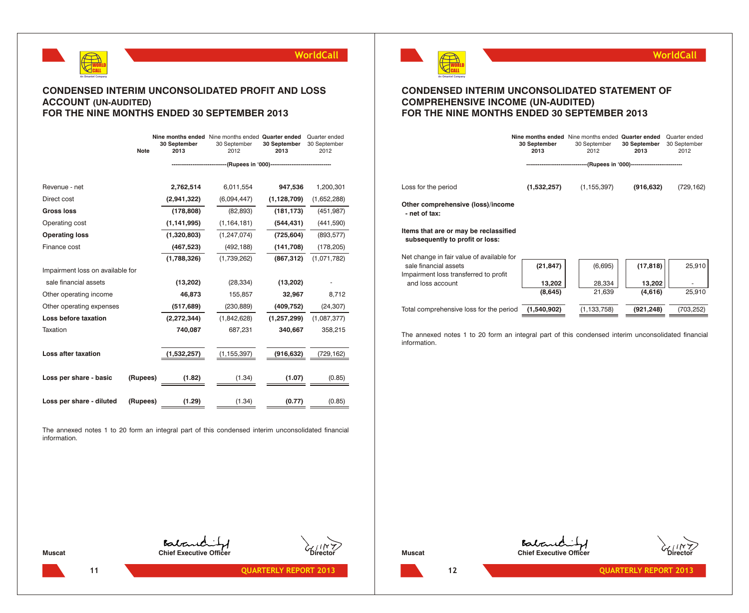

### **CONDENSED INTERIM UNCONSOLIDATED PROFIT AND LOSS ACCOUNT (UN-AUDITED) FOR THE NINE MONTHS ENDED 30 SEPTEMBER 2013**

|                                  | <b>Note</b> | 30 September<br>2013 | Nine months ended Nine months ended Quarter ended<br>30 September<br>2012 | 30 September<br>2013 | Quarter ended<br>30 September<br>2012 |
|----------------------------------|-------------|----------------------|---------------------------------------------------------------------------|----------------------|---------------------------------------|
|                                  |             |                      |                                                                           |                      |                                       |
|                                  |             |                      |                                                                           |                      |                                       |
| Revenue - net                    |             | 2,762,514            | 6,011,554                                                                 | 947,536              | 1,200,301                             |
| Direct cost                      |             | (2,941,322)          | (6,094,447)                                                               | (1, 128, 709)        | (1,652,288)                           |
| <b>Gross loss</b>                |             | (178, 808)           | (82, 893)                                                                 | (181, 173)           | (451, 987)                            |
| Operating cost                   |             | (1, 141, 995)        | (1, 164, 181)                                                             | (544, 431)           | (441, 590)                            |
| <b>Operating loss</b>            |             | (1,320,803)          | (1, 247, 074)                                                             | (725, 604)           | (893, 577)                            |
| Finance cost                     |             | (467, 523)           | (492, 188)                                                                | (141, 708)           | (178, 205)                            |
|                                  |             | (1,788,326)          | (1,739,262)                                                               | (867, 312)           | (1,071,782)                           |
| Impairment loss on available for |             |                      |                                                                           |                      |                                       |
| sale financial assets            |             | (13,202)             | (28, 334)                                                                 | (13,202)             |                                       |
| Other operating income           |             | 46,873               | 155,857                                                                   | 32,967               | 8,712                                 |
| Other operating expenses         |             | (517, 689)           | (230, 889)                                                                | (409, 752)           | (24, 307)                             |
| Loss before taxation             |             | (2, 272, 344)        | (1,842,628)                                                               | (1, 257, 299)        | (1,087,377)                           |
| Taxation                         |             | 740,087              | 687,231                                                                   | 340,667              | 358,215                               |
|                                  |             |                      |                                                                           |                      |                                       |
| Loss after taxation              |             | (1,532,257)          | (1, 155, 397)                                                             | (916,632)            | (729, 162)                            |
|                                  |             |                      |                                                                           |                      |                                       |
| Loss per share - basic           | (Rupees)    | (1.82)               | (1.34)                                                                    | (1.07)               | (0.85)                                |
|                                  |             |                      |                                                                           |                      |                                       |
| Loss per share - diluted         | (Rupees)    | (1.29)               | (1.34)                                                                    | (0.77)               | (0.85)                                |

The annexed notes 1 to 20 form an integral part of this condensed interim unconsolidated financial information.



**WorldCall**

### **CONDENSED INTERIM UNCONSOLIDATED STATEMENT OF COMPREHENSIVE INCOME (UN-AUDITED) FOR THE NINE MONTHS ENDED 30 SEPTEMBER 2013**

|                                                                          | 30 September<br>2013 | Nine months ended Nine months ended Quarter ended<br>30 September<br>2012 | 30 September<br>2013 | Quarter ended<br>30 September<br>2012 |
|--------------------------------------------------------------------------|----------------------|---------------------------------------------------------------------------|----------------------|---------------------------------------|
|                                                                          |                      | --------------------(Rupees in '000)----------------------------          |                      |                                       |
| Loss for the period                                                      | (1,532,257)          | (1, 155, 397)                                                             | (916, 632)           | (729, 162)                            |
| Other comprehensive (loss)/income<br>- net of tax:                       |                      |                                                                           |                      |                                       |
| Items that are or may be reclassified<br>subsequently to profit or loss: |                      |                                                                           |                      |                                       |
| Net change in fair value of available for                                |                      |                                                                           |                      |                                       |
| sale financial assets                                                    | (21, 847)            | (6,695)                                                                   | (17, 818)            | 25,910                                |
| Impairment loss transferred to profit<br>and loss account                | 13,202               | 28,334                                                                    | 13,202               |                                       |
|                                                                          | (8,645)              | 21,639                                                                    | (4,616)              | 25,910                                |
| Total comprehensive loss for the period                                  | (1.540.902)          | (1, 133, 758)                                                             | (921, 248)           | (703, 252)                            |

The annexed notes 1 to 20 form an integral part of this condensed interim unconsolidated financial information.

Babanchi **Muscat Chief Executive Officer** 





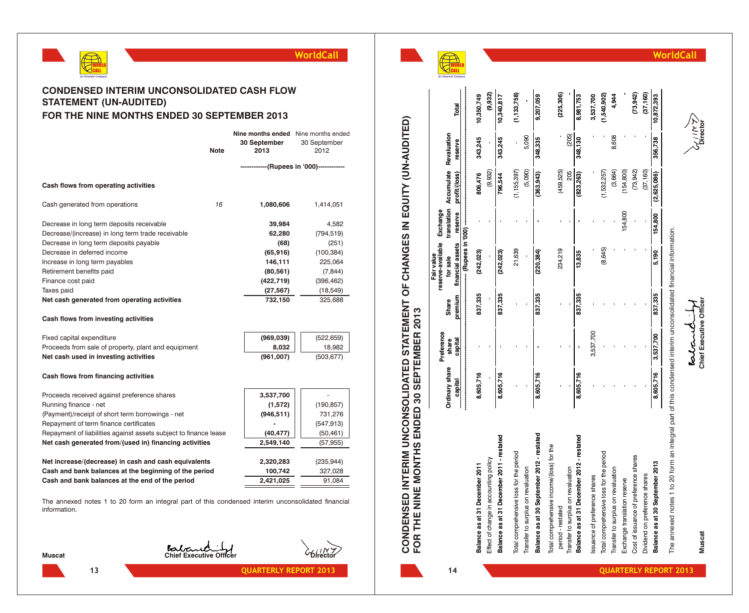



**a n t e lC o m p a n y**

**14**

**A**

**CONDENSED INTERIM UNCONSOLIDATED STATEMENT OF CHANGES IN EQUITY (UN-AUDITED)**

CONDENSED INTERIM UNCONSOLIDATED STATEMENT OF CHANGES IN EQUITY (UN-AUDITED)<br>FOR THE NINE MONTHS ENDED 30 SEPTEMBER 2013

**FOR THE NINE MONTHS ENDED 30 SEPTEMBER 2013**



**Muscat Chief Executive Officer Director Bolowed** 

The annexe

| $\frac{1}{2}$                                                                       |  |
|-------------------------------------------------------------------------------------|--|
|                                                                                     |  |
|                                                                                     |  |
|                                                                                     |  |
|                                                                                     |  |
|                                                                                     |  |
| =<br>3<br>3<br>3<br>3                                                               |  |
|                                                                                     |  |
|                                                                                     |  |
|                                                                                     |  |
|                                                                                     |  |
|                                                                                     |  |
|                                                                                     |  |
|                                                                                     |  |
|                                                                                     |  |
|                                                                                     |  |
|                                                                                     |  |
|                                                                                     |  |
|                                                                                     |  |
| Š                                                                                   |  |
|                                                                                     |  |
|                                                                                     |  |
|                                                                                     |  |
|                                                                                     |  |
|                                                                                     |  |
|                                                                                     |  |
| the dealer of the company in the detail and this coordonage interim unconcelled the |  |
|                                                                                     |  |
|                                                                                     |  |
| המהמה האו                                                                           |  |
| 5<br>-<br>-<br>-                                                                    |  |

|                                            |                     | Preference |         | reserve-available<br>Fair value | Exchange |                                    |         |               |
|--------------------------------------------|---------------------|------------|---------|---------------------------------|----------|------------------------------------|---------|---------------|
|                                            | Ordinary share      | share      | Share   | for sale                        |          | translation Accumulate Revaluation |         |               |
|                                            | capital             | capital    | premium | financial assets reserve        |          | profit/(loss)                      | reserve | Total         |
|                                            | <br> <br> <br> <br> |            |         |                                 |          |                                    |         |               |
| Balance as at 31 December 2011             | 8,605,716           |            | 837,335 | (242, 023)                      |          | 806,476                            | 343,245 | 10,350,749    |
| Effect of change in accounting policy      |                     |            |         |                                 |          | (9,932)                            |         | (9,932)       |
| Balance as at 31 December 2011 - restated  | 8,605,716           |            | 837,335 | (242,023)                       |          | 796,544                            | 343,245 | 10,340,817    |
| Total comprehensive loss for the period    |                     |            |         | 21,639                          |          | (1, 155, 397)                      |         | (1, 133, 758) |
| Transfer to surplus on revaluation         |                     |            |         |                                 |          | (5,090)                            | 5,090   |               |
| Balance as at 30 September 2012 - restated | 8,605,716           |            | 837,335 | (220, 384)                      |          | (363, 943)                         | 348,335 | 9,207,059     |
| Total comprehensive income/(loss) for the  |                     |            |         |                                 |          |                                    |         |               |
| period - restated                          |                     |            |         | 234,219                         |          | (459, 525)                         |         | (225, 306)    |
| Transfer to surplus on revaluation         |                     |            |         |                                 |          | 205                                | (205)   |               |
| Balance as at 31 December 2012 - restated  | 8,605,716           |            | 837,335 | 13,835                          |          | (823, 263)                         | 348,130 | 8,981,753     |
| Issuance of preference shares              |                     | 3,537,700  |         |                                 |          |                                    |         | 3,537,700     |
| Total comprehensive loss for the period    |                     |            |         | (8,645)                         |          | (1,532,257)                        |         | (1,540,902)   |
| Transfer to surplus on revaluation         |                     |            |         |                                 |          | (3,664)                            | 8,608   | 4,944         |
| Exchange translation reserve               |                     |            |         |                                 | 154,800  | (154, 800)                         |         |               |
| Cost of issuance of preference shares      |                     |            |         |                                 |          | (73, 942)                          |         | (73, 942)     |
| Dividend on preference shares              |                     |            |         |                                 |          | (37, 160)                          |         | (37, 160)     |
| Balance as at 30 September 2013            | 8,605,716           | 3,537,700  | 837,335 | 5,190                           | 154,800  | (2,625,086)                        | 356,738 | 10,872,393    |
|                                            |                     |            |         |                                 |          |                                    |         |               |

### **CONDENSED INTERIM UNCONSOLIDATED CASH FLOW STATEMENT (UN-AUDITED) FOR THE NINE MONTHS ENDED 30 SEPTEMBER 2013**

|                                                     | <b>Note</b> | <b>Nine months ended</b> Nine months ended<br>30 September<br>2013 | 30 September<br>2012 |
|-----------------------------------------------------|-------------|--------------------------------------------------------------------|----------------------|
|                                                     |             | ------------(Rupees in '000)------------                           |                      |
| Cash flows from operating activities                |             |                                                                    |                      |
| Cash generated from operations                      | 16          | 1,080,606                                                          | 1,414,051            |
| Decrease in long term deposits receivable           |             | 39,984                                                             | 4,582                |
| Decrease/(increase) in long term trade receivable   |             | 62,280                                                             | (794, 519)           |
| Decrease in long term deposits payable              |             | (68)                                                               | (251)                |
| Decrease in deferred income                         |             | (65, 916)                                                          | (100, 384)           |
| Increase in long term payables                      |             | 146,111                                                            | 225,064              |
| Retirement benefits paid                            |             | (80, 561)                                                          | (7, 844)             |
| Finance cost paid                                   |             | (422, 719)                                                         | (396, 462)           |
| Taxes paid                                          |             | (27, 567)                                                          | (18, 549)            |
| Net cash generated from operating activities        |             | 732,150                                                            | 325,688              |
| Cash flows from investing activities                |             |                                                                    |                      |
| Fixed capital expenditure                           |             | (969, 039)                                                         | (522, 659)           |
| Proceeds from sale of property, plant and equipment |             | 8,032                                                              | 18,982               |
| Net cash used in investing activities               |             | (961,007)                                                          | (503, 677)           |
| Cash flows from financing activities                |             |                                                                    |                      |

| Proceeds received against preference shares                      | 3,537,700  |            |
|------------------------------------------------------------------|------------|------------|
| Running finance - net                                            | (1,572)    | (190, 857) |
| (Payment)/receipt of short term borrowings - net                 | (946, 511) | 731,276    |
| Repayment of term finance certificates                           |            | (547, 913) |
| Repayment of liabilities against assets subject to finance lease | (40, 477)  | (50, 461)  |
| Net cash generated from/(used in) financing activities           | 2,549,140  | (57, 955)  |
|                                                                  |            |            |
| Net increase/(decrease) in cash and cash equivalents             | 2,320,283  | (235, 944) |
| Cash and bank balances at the beginning of the period            | 100,742    | 327,028    |
| Cash and bank balances at the end of the period                  | 2,421,025  | 91.084     |

The annexed notes 1 to 20 form an integral part of this condensed interim unconsolidated financial information.



**Muscat Chief Executive Officer Director** 

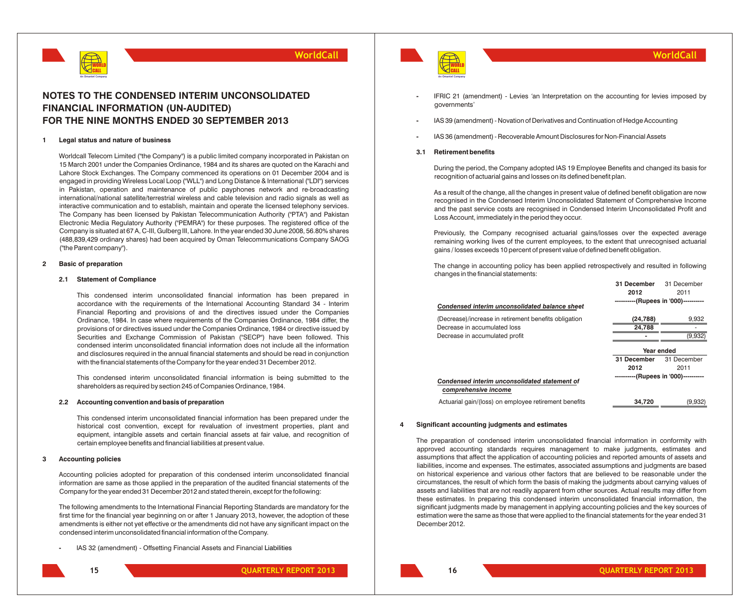

### **NOTES TO THE CONDENSED INTERIM UNCONSOLIDATED FINANCIAL INFORMATION (UN-AUDITED) FOR THE NINE MONTHS ENDED 30 SEPTEMBER 2013**

#### **1 Legal status and nature of business**

Worldcall Telecom Limited ("the Company") is a public limited company incorporated in Pakistan on 15 March 2001 under the Companies Ordinance, 1984 and its shares are quoted on the Karachi and Lahore Stock Exchanges. The Company commenced its operations on 01 December 2004 and is engaged in providing Wireless Local Loop ("WLL") and Long Distance & International ("LDI") services in Pakistan, operation and maintenance of public payphones network and re-broadcasting international/national satellite/terrestrial wireless and cable television and radio signals as well as interactive communication and to establish, maintain and operate the licensed telephony services. The Company has been licensed by Pakistan Telecommunication Authority ("PTA") and Pakistan Electronic Media Regulatory Authority ("PEMRA") for these purposes. The registered office of the Company is situated at 67 A, C-III, Gulberg III, Lahore. In the year ended 30 June 2008, 56.80% shares (488,839,429 ordinary shares) had been acquired by Oman Telecommunications Company SAOG ("the Parent company").

### **2 Basic of preparation**

### **2.1 Statement of Compliance**

This condensed interim unconsolidated financial information has been prepared in accordance with the requirements of the International Accounting Standard 34 - Interim Financial Reporting and provisions of and the directives issued under the Companies Ordinance, 1984. In case where requirements of the Companies Ordinance, 1984 differ, the provisions of or directives issued under the Companies Ordinance, 1984 or directive issued by Securities and Exchange Commission of Pakistan ("SECP") have been followed. This condensed interim unconsolidated financial information does not include all the information and disclosures required in the annual financial statements and should be read in conjunction with the financial statements of the Company for the year ended 31 December 2012.

This condensed interim unconsolidated financial information is being submitted to the shareholders as required by section 245 of Companies Ordinance, 1984.

#### **2.2 Accounting convention and basis of preparation**

This condensed interim unconsolidated financial information has been prepared under the historical cost convention, except for revaluation of investment properties, plant and equipment, intangible assets and certain financial assets at fair value, and recognition of certain employee benefits and financial liabilities at present value.

### **3 Accounting policies**

Accounting policies adopted for preparation of this condensed interim unconsolidated financial information are same as those applied in the preparation of the audited financial statements of the Company for the year ended 31 December 2012 and stated therein, except for the following:

The following amendments to the International Financial Reporting Standards are mandatory for the first time for the financial year beginning on or after 1 January 2013, however, the adoption of these amendments is either not yet effective or the amendments did not have any significant impact on the condensed interim unconsolidated financial information of the Company.

**-** IAS 32 (amendment) - Offsetting Financial Assets and Financial Liabilities





### **WorldCall**

**31 December** 31 December

- **-** IFRIC 21 (amendment) Levies *'*an Interpretation on the accounting for levies imposed by governments'
- **-** IAS 39 (amendment) Novation of Derivatives and Continuation of Hedge Accounting
- **-** IAS 36 (amendment) Recoverable Amount Disclosures for Non-Financial Assets

### **3.1 Retirement benefits**

During the period, the Company adopted IAS 19 Employee Benefits and changed its basis for recognition of actuarial gains and losses on its defined benefit plan.

As a result of the change, all the changes in present value of defined benefit obligation are now recognised in the Condensed Interim Unconsolidated Statement of Comprehensive Income and the past service costs are recognised in Condensed Interim Unconsolidated Profit and Loss Account, immediately in the period they occur.

Previously, the Company recognised actuarial gains/losses over the expected average remaining working lives of the current employees, to the extent that unrecognised actuarial gains / losses exceeds 10 percent of present value of defined benefit obligation.

The change in accounting policy has been applied retrospectively and resulted in following changes in the financial statements:

| Condensed interim unconsolidated balance sheet                        | 2012<br>----------(Rupees in '000)----------- | 2011        |
|-----------------------------------------------------------------------|-----------------------------------------------|-------------|
| (Decrease)/increase in retirement benefits obligation                 | (24, 788)                                     | 9,932       |
| Decrease in accumulated loss                                          | 24.788                                        |             |
| Decrease in accumulated profit                                        |                                               | (9,932)     |
|                                                                       | Year ended                                    |             |
|                                                                       | 31 December                                   | 31 December |
|                                                                       | 2012                                          | 2011        |
| Condensed interim unconsolidated statement of<br>comprehensive income | ----------(Rupees in '000)-----------         |             |
| Actuarial gain/(loss) on employee retirement benefits                 | 34.720                                        | (9,932)     |

#### **4 Significant accounting judgments and estimates**

The preparation of condensed interim unconsolidated financial information in conformity with approved accounting standards requires management to make judgments, estimates and assumptions that affect the application of accounting policies and reported amounts of assets and liabilities, income and expenses. The estimates, associated assumptions and judgments are based on historical experience and various other factors that are believed to be reasonable under the circumstances, the result of which form the basis of making the judgments about carrying values of assets and liabilities that are not readily apparent from other sources. Actual results may differ from these estimates. In preparing this condensed interim unconsolidated financial information, the significant judgments made by management in applying accounting policies and the key sources of estimation were the same as those that were applied to the financial statements for the year ended 31 December 2012.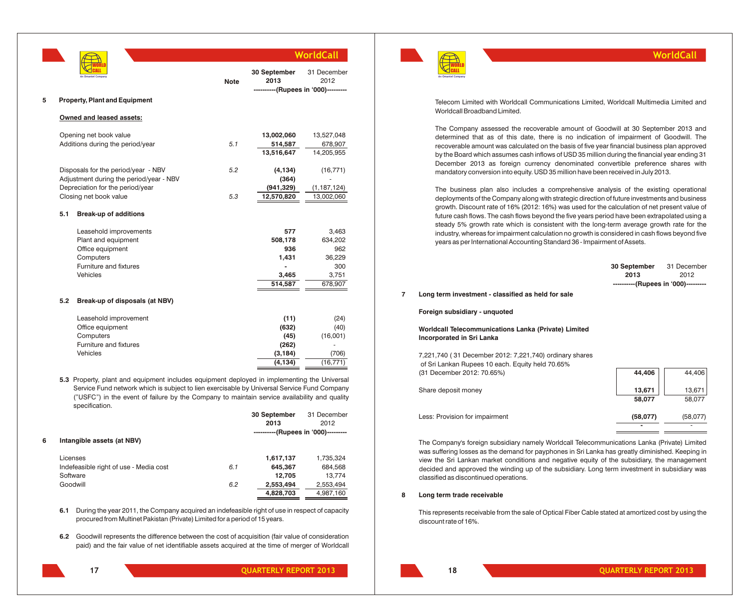|   |     |                                                                                                                                                                                                                                                                                                              |             |                      | WorldCall                                              |
|---|-----|--------------------------------------------------------------------------------------------------------------------------------------------------------------------------------------------------------------------------------------------------------------------------------------------------------------|-------------|----------------------|--------------------------------------------------------|
|   |     |                                                                                                                                                                                                                                                                                                              | <b>Note</b> | 30 September<br>2013 | 31 December<br>2012<br>------(Rupees in '000)--------- |
| 5 |     | <b>Property, Plant and Equipment</b>                                                                                                                                                                                                                                                                         |             |                      |                                                        |
|   |     | Owned and leased assets:                                                                                                                                                                                                                                                                                     |             |                      |                                                        |
|   |     | Opening net book value                                                                                                                                                                                                                                                                                       |             | 13,002,060           | 13,527,048                                             |
|   |     | Additions during the period/year                                                                                                                                                                                                                                                                             | 5.1         | 514,587              | 678,907                                                |
|   |     |                                                                                                                                                                                                                                                                                                              |             | 13,516,647           | 14,205,955                                             |
|   |     | Disposals for the period/year - NBV                                                                                                                                                                                                                                                                          | 5.2         | (4, 134)             | (16, 771)                                              |
|   |     | Adjustment during the period/year - NBV                                                                                                                                                                                                                                                                      |             | (364)                |                                                        |
|   |     | Depreciation for the period/year                                                                                                                                                                                                                                                                             |             | (941, 329)           | (1, 187, 124)                                          |
|   |     | Closing net book value                                                                                                                                                                                                                                                                                       | 5.3         | 12,570,820           | 13,002,060                                             |
|   | 5.1 | <b>Break-up of additions</b>                                                                                                                                                                                                                                                                                 |             |                      |                                                        |
|   |     | Leasehold improvements                                                                                                                                                                                                                                                                                       |             | 577                  | 3,463                                                  |
|   |     | Plant and equipment                                                                                                                                                                                                                                                                                          |             | 508,178              | 634,202                                                |
|   |     | Office equipment                                                                                                                                                                                                                                                                                             |             | 936                  | 962                                                    |
|   |     | Computers                                                                                                                                                                                                                                                                                                    |             | 1,431                | 36,229                                                 |
|   |     | Furniture and fixtures                                                                                                                                                                                                                                                                                       |             |                      | 300                                                    |
|   |     | Vehicles                                                                                                                                                                                                                                                                                                     |             | 3,465<br>514,587     | 3,751<br>678,907                                       |
|   |     |                                                                                                                                                                                                                                                                                                              |             |                      |                                                        |
|   | 5.2 | Break-up of disposals (at NBV)                                                                                                                                                                                                                                                                               |             |                      |                                                        |
|   |     | Leasehold improvement                                                                                                                                                                                                                                                                                        |             | (11)                 | (24)                                                   |
|   |     | Office equipment                                                                                                                                                                                                                                                                                             |             | (632)                | (40)                                                   |
|   |     | Computers                                                                                                                                                                                                                                                                                                    |             | (45)                 | (16,001)                                               |
|   |     | Furniture and fixtures                                                                                                                                                                                                                                                                                       |             | (262)                |                                                        |
|   |     | Vehicles                                                                                                                                                                                                                                                                                                     |             | (3, 184)             | (706)                                                  |
|   |     |                                                                                                                                                                                                                                                                                                              |             | (4, 134)             | (16, 771)                                              |
|   |     | 5.3 Property, plant and equipment includes equipment deployed in implementing the Universal<br>Service Fund network which is subject to lien exercisable by Universal Service Fund Company<br>("USFC") in the event of failure by the Company to maintain service availability and quality<br>specification. |             |                      |                                                        |
|   |     |                                                                                                                                                                                                                                                                                                              |             | 30 September         | 31 December                                            |

|   |                                        |     | <b>30 September</b>                 | 31 December |
|---|----------------------------------------|-----|-------------------------------------|-------------|
|   |                                        |     | 2013                                | 2012        |
|   |                                        |     | ----------(Rupees in '000)--------- |             |
| 6 | Intangible assets (at NBV)             |     |                                     |             |
|   | Licenses                               |     | 1,617,137                           | 1,735,324   |
|   | Indefeasible right of use - Media cost | 6.1 | 645,367                             | 684,568     |
|   | Software                               |     | 12.705                              | 13.774      |
|   | Goodwill                               | 6.2 | 2,553,494                           | 2,553,494   |
|   |                                        |     | 4,828,703                           | 4,987,160   |

**6.1** During the year 2011, the Company acquired an indefeasible right of use in respect of capacity procured from Multinet Pakistan (Private) Limited for a period of 15 years.

**6.2** Goodwill represents the difference between the cost of acquisition (fair value of consideration paid) and the fair value of net identifiable assets acquired at the time of merger of Worldcall

**17**



### **WorldCall**

Telecom Limited with Worldcall Communications Limited, Worldcall Multimedia Limited and Worldcall Broadband Limited.

The Company assessed the recoverable amount of Goodwill at 30 September 2013 and determined that as of this date, there is no indication of impairment of Goodwill. The recoverable amount was calculated on the basis of five year financial business plan approved by the Board which assumes cash inflows of USD 35 million during the financial year ending 31 December 2013 as foreign currency denominated convertible preference shares with mandatory conversion into equity. USD 35 million have been received in July 2013.

The business plan also includes a comprehensive analysis of the existing operational deployments of the Company along with strategic direction of future investments and business growth. Discount rate of 16% (2012: 16%) was used for the calculation of net present value of future cash flows. The cash flows beyond the five years period have been extrapolated using a steady 5% growth rate which is consistent with the long-term average growth rate for the industry, whereas for impairment calculation no growth is considered in cash flows beyond five years as per International Accounting Standard 36 - Impairment of Assets.

|   |                                                                                                             | <b>30 September</b><br>2013         | 31 December<br>2012 |  |
|---|-------------------------------------------------------------------------------------------------------------|-------------------------------------|---------------------|--|
|   |                                                                                                             | ----------(Rupees in '000)--------- |                     |  |
| 7 | Long term investment - classified as held for sale                                                          |                                     |                     |  |
|   | Foreign subsidiary - unquoted                                                                               |                                     |                     |  |
|   | Worldcall Telecommunications Lanka (Private) Limited<br>Incorporated in Sri Lanka                           |                                     |                     |  |
|   | 7,221,740 (31 December 2012: 7,221,740) ordinary shares<br>of Sri Lankan Rupees 10 each. Equity held 70.65% |                                     |                     |  |
|   | (31 December 2012: 70.65%)                                                                                  | 44.406                              | 44.406              |  |

| Share deposit money            | 13,671<br>58,077                     | 13,671<br>58,077                     |
|--------------------------------|--------------------------------------|--------------------------------------|
| Less: Provision for impairment | (58,077)<br>$\overline{\phantom{0}}$ | (58,077)<br>$\overline{\phantom{a}}$ |

The Company's foreign subsidiary namely Worldcall Telecommunications Lanka (Private) Limited was suffering losses as the demand for payphones in Sri Lanka has greatly diminished. Keeping in view the Sri Lankan market conditions and negative equity of the subsidiary, the management decided and approved the winding up of the subsidiary. Long term investment in subsidiary was classified as discontinued operations.

### **8 Long term trade receivable**

**18**

This represents receivable from the sale of Optical Fiber Cable stated at amortized cost by using the discount rate of 16%.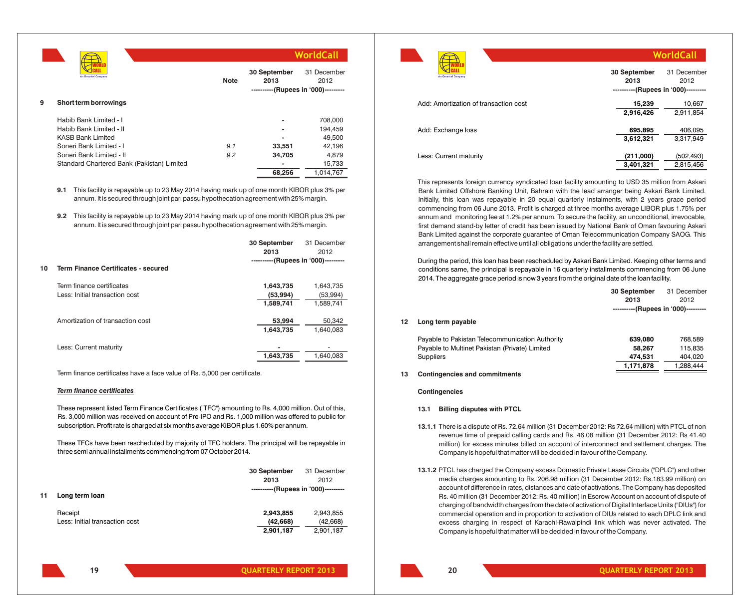|   |                                            |             |                                                             | <b>WorldCall</b>    |
|---|--------------------------------------------|-------------|-------------------------------------------------------------|---------------------|
|   | An Omantel Company                         | <b>Note</b> | 30 September<br>2013<br>----------(Rupees in '000)--------- | 31 December<br>2012 |
| 9 | Short term borrowings                      |             |                                                             |                     |
|   | Habib Bank Limited - I                     |             |                                                             | 708,000             |
|   | Habib Bank Limited - II                    |             |                                                             | 194,459             |
|   | <b>KASB Bank Limited</b>                   |             |                                                             | 49,500              |
|   | Soneri Bank Limited - I                    | 9.1         | 33,551                                                      | 42,196              |
|   | Soneri Bank Limited - II                   | 9.2         | 34,705                                                      | 4.879               |
|   | Standard Chartered Bank (Pakistan) Limited |             |                                                             | 15,733              |
|   |                                            |             | 68,256                                                      | 1,014,767           |

**9.1** This facility is repayable up to 23 May 2014 having mark up of one month KIBOR plus 3% per annum. It is secured through joint pari passu hypothecation agreement with 25% margin.

**9.2** This facility is repayable up to 23 May 2014 having mark up of one month KIBOR plus 3% per annum. It is secured through joint pari passu hypothecation agreement with 25% margin.

|    |                                     | 30 September                        | 31 December |
|----|-------------------------------------|-------------------------------------|-------------|
|    |                                     | 2013                                | 2012        |
|    |                                     | ----------(Rupees in '000)--------- |             |
| 10 | Term Finance Certificates - secured |                                     |             |
|    | Term finance certificates           | 1,643,735                           | 1,643,735   |
|    | Less: Initial transaction cost      | (53,994)                            | (53,994)    |
|    |                                     | 1,589,741                           | 1,589,741   |
|    | Amortization of transaction cost    | 53,994                              | 50,342      |
|    |                                     | 1,643,735                           | 1.640.083   |
|    | Less: Current maturity              |                                     |             |
|    |                                     | 1,643,735                           | 1.640.083   |
|    |                                     |                                     |             |

Term finance certificates have a face value of Rs. 5,000 per certificate.

#### *Term finance certificates*

These represent listed Term Finance Certificates ("TFC") amounting to Rs. 4,000 million. Out of this, Rs. 3,000 million was received on account of Pre-IPO and Rs. 1,000 million was offered to public for subscription. Profit rate is charged at six months average KIBOR plus 1.60% per annum.

These TFCs have been rescheduled by majority of TFC holders. The principal will be repayable in three semi annual installments commencing from 07 October 2014.

|    |                                           | 30 September<br>2013                | 31 December<br>2012                |
|----|-------------------------------------------|-------------------------------------|------------------------------------|
| 11 | Long term loan                            | ----------(Rupees in '000)--------- |                                    |
|    | Receipt<br>Less: Initial transaction cost | 2,943,855<br>(42, 668)<br>2,901,187 | 2,943,855<br>(42,668)<br>2,901,187 |

| An Omantel Company                    | 30 September<br>2013<br>----------(Rupees in '000)--------- | 31 December<br>2012     |
|---------------------------------------|-------------------------------------------------------------|-------------------------|
| Add: Amortization of transaction cost | 15,239<br>2,916,426                                         | 10,667<br>2,911,854     |
| Add: Exchange loss                    | 695,895<br>3,612,321                                        | 406,095<br>3,317,949    |
| Less: Current maturity                | (211,000)<br>3,401,321                                      | (502, 493)<br>2,815,456 |

This represents foreign currency syndicated loan facility amounting to USD 35 million from Askari Bank Limited Offshore Banking Unit, Bahrain with the lead arranger being Askari Bank Limited. Initially, this loan was repayable in 20 equal quarterly instalments, with 2 years grace period commencing from 06 June 2013. Profit is charged at three months average LIBOR plus 1.75% per annum and monitoring fee at 1.2% per annum. To secure the facility, an unconditional, irrevocable, first demand stand-by letter of credit has been issued by National Bank of Oman favouring Askari Bank Limited against the corporate guarantee of Oman Telecommunication Company SAOG. This arrangement shall remain effective until all obligations under the facility are settled.

During the period, this loan has been rescheduled by Askari Bank Limited. Keeping other terms and conditions same, the principal is repayable in 16 quarterly installments commencing from 06 June 2014. The aggregate grace period is now 3 years from the original date of the loan facility.

|    |                                                 | 30 September                        | 31 December |
|----|-------------------------------------------------|-------------------------------------|-------------|
|    |                                                 | 2013                                | 2012        |
|    |                                                 | ----------(Rupees in '000)--------- |             |
| 12 | Long term payable                               |                                     |             |
|    | Payable to Pakistan Telecommunication Authority | 639.080                             | 768.589     |
|    | Payable to Multinet Pakistan (Private) Limited  | 58.267                              | 115.835     |
|    | <b>Suppliers</b>                                | 474.531                             | 404.020     |

### **13 Contingencies and commitments**

**Contingencies**

### **13.1 Billing disputes with PTCL**

- **13.1.1** There is a dispute of Rs. 72.64 million (31 December 2012: Rs 72.64 million) with PTCL of non revenue time of prepaid calling cards and Rs. 46.08 million (31 December 2012: Rs 41.40 million) for excess minutes billed on account of interconnect and settlement charges. The Company is hopeful that matter will be decided in favour of the Company.
- **13.1.2** PTCL has charged the Company excess Domestic Private Lease Circuits ("DPLC") and other media charges amounting to Rs. 206.98 million (31 December 2012: Rs.183.99 million) on account of difference in rates, distances and date of activations. The Company has deposited Rs. 40 million (31 December 2012: Rs. 40 million) in Escrow Account on account of dispute of charging of bandwidth charges from the date of activation of Digital Interface Units ("DIUs") for commercial operation and in proportion to activation of DIUs related to each DPLC link and excess charging in respect of Karachi-Rawalpindi link which was never activated. The Company is hopeful that matter will be decided in favour of the Company.

**19**

**1,171,878** 1,288,444

**WorldCall**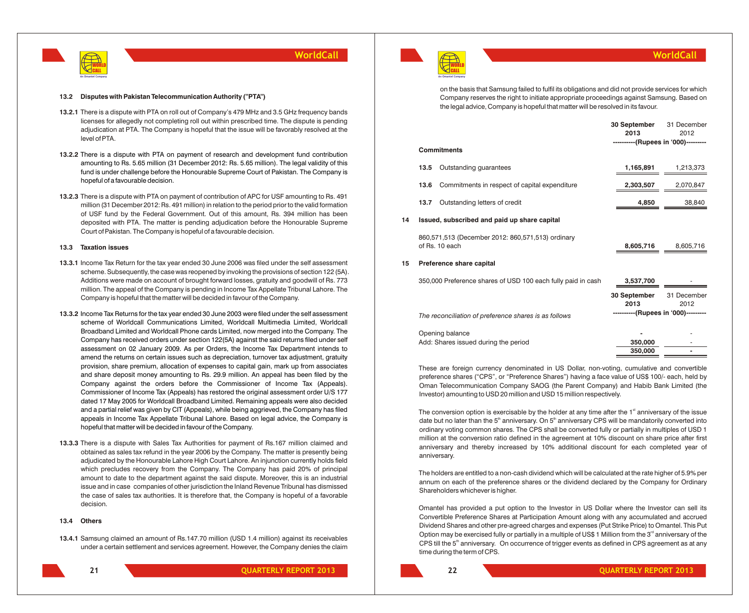

#### **13.2 Disputes with Pakistan Telecommunication Authority ("PTA")**

- **13.2.1** There is a dispute with PTA on roll out of Company's 479 MHz and 3.5 GHz frequency bands licenses for allegedly not completing roll out within prescribed time. The dispute is pending adjudication at PTA. The Company is hopeful that the issue will be favorably resolved at the level of PTA.
- **13.2.2** There is a dispute with PTA on payment of research and development fund contribution amounting to Rs. 5.65 million (31 December 2012: Rs. 5.65 million). The legal validity of this fund is under challenge before the Honourable Supreme Court of Pakistan. The Company is hopeful of a favourable decision.
- **13.2.3** There is a dispute with PTA on payment of contribution of APC for USF amounting to Rs. 491 million (31 December 2012: Rs. 491 million) in relation to the period prior to the valid formation of USF fund by the Federal Government. Out of this amount, Rs. 394 million has been deposited with PTA. The matter is pending adjudication before the Honourable Supreme Court of Pakistan. The Company is hopeful of a favourable decision.

### **13.3 Taxation issues**

- **13.3.1** Income Tax Return for the tax year ended 30 June 2006 was filed under the self assessment scheme. Subsequently, the case was reopened by invoking the provisions of section 122 (5A). Additions were made on account of brought forward losses, gratuity and goodwill of Rs. 773 million. The appeal of the Company is pending in Income Tax Appellate Tribunal Lahore. The Company is hopeful that the matter will be decided in favour of the Company.
- **13.3.2** Income Tax Returns for the tax year ended 30 June 2003 were filed under the self assessment scheme of Worldcall Communications Limited, Worldcall Multimedia Limited, Worldcall Broadband Limited and Worldcall Phone cards Limited, now merged into the Company. The Company has received orders under section 122(5A) against the said returns filed under self assessment on 02 January 2009. As per Orders, the Income Tax Department intends to amend the returns on certain issues such as depreciation, turnover tax adjustment, gratuity provision, share premium, allocation of expenses to capital gain, mark up from associates and share deposit money amounting to Rs. 29.9 million. An appeal has been filed by the Company against the orders before the Commissioner of Income Tax (Appeals). Commissioner of Income Tax (Appeals) has restored the original assessment order U/S 177 dated 17 May 2005 for Worldcall Broadband Limited. Remaining appeals were also decided and a partial relief was given by CIT (Appeals), while being aggrieved, the Company has filed appeals in Income Tax Appellate Tribunal Lahore. Based on legal advice, the Company is hopeful that matter will be decided in favour of the Company.
- **13.3.3** There is a dispute with Sales Tax Authorities for payment of Rs.167 million claimed and obtained as sales tax refund in the year 2006 by the Company. The matter is presently being adjudicated by the Honourable Lahore High Court Lahore. An injunction currently holds field which precludes recovery from the Company. The Company has paid 20% of principal amount to date to the department against the said dispute. Moreover, this is an industrial issue and in case companies of other jurisdiction the Inland Revenue Tribunal has dismissed the case of sales tax authorities. It is therefore that, the Company is hopeful of a favorable decision.

### **13.4 Others**

**13.4.1** Samsung claimed an amount of Rs.147.70 million (USD 1.4 million) against its receivables under a certain settlement and services agreement. However, the Company denies the claim





### **WorldCall**

on the basis that Samsung failed to fulfil its obligations and did not provide services for which Company reserves the right to initiate appropriate proceedings against Samsung. Based on the legal advice, Company is hopeful that matter will be resolved in its favour.

|    |      |                                                    | 30 September                        | 31 December |
|----|------|----------------------------------------------------|-------------------------------------|-------------|
|    |      |                                                    | 2013                                | 2012        |
|    |      |                                                    | ----------(Rupees in '000)--------- |             |
|    |      | <b>Commitments</b>                                 |                                     |             |
|    | 13.5 | Outstanding guarantees                             | 1,165,891                           | 1,213,373   |
|    |      | 13.6 Commitments in respect of capital expenditure | 2,303,507                           | 2,070,847   |
|    | 13.7 | Outstanding letters of credit                      | 4.850                               | 38,840      |
| 14 |      | Issued, subscribed and paid up share capital       |                                     |             |

860,571,513 (December 2012: 860,571,513) ordinary of Rs. 10 each **8,605,716** 8,605,716

### **15 Preference share capital**

| 350,000 Preference shares of USD 100 each fully paid in cash | 3,537,700                           |                     |
|--------------------------------------------------------------|-------------------------------------|---------------------|
|                                                              | 30 September<br>2013                | 31 December<br>2012 |
| The reconciliation of preference shares is as follows        | ----------(Rupees in '000)--------- |                     |
| Opening balance                                              |                                     | ۰                   |
| Add: Shares issued during the period                         | 350,000                             | ۰                   |
|                                                              | 350,000                             | -                   |

These are foreign currency denominated in US Dollar, non-voting, cumulative and convertible preference shares ("CPS", or "Preference Shares") having a face value of US\$ 100/- each, held by Oman Telecommunication Company SAOG (the Parent Company) and Habib Bank Limited (the Investor) amounting to USD 20 million and USD 15 million respectively.

The conversion option is exercisable by the holder at any time after the  $1<sup>st</sup>$  anniversary of the issue date but no later than the 5<sup>th</sup> anniversary. On 5<sup>th</sup> anniversary CPS will be mandatorily converted into ordinary voting common shares. The CPS shall be converted fully or partially in multiples of USD 1 million at the conversion ratio defined in the agreement at 10% discount on share price after first anniversary and thereby increased by 10% additional discount for each completed year of anniversary.

The holders are entitled to a non-cash dividend which will be calculated at the rate higher of 5.9% per annum on each of the preference shares or the dividend declared by the Company for Ordinary Shareholders whichever is higher.

Omantel has provided a put option to the Investor in US Dollar where the Investor can sell its Convertible Preference Shares at Participation Amount along with any accumulated and accrued Dividend Shares and other pre-agreed charges and expenses (Put Strike Price) to Omantel. This Put Option may be exercised fully or partially in a multiple of US\$ 1 Million from the  $3<sup>rd</sup>$  anniversary of the CPS till the 5<sup>th</sup> anniversary. On occurrence of trigger events as defined in CPS agreement as at any time during the term of CPS.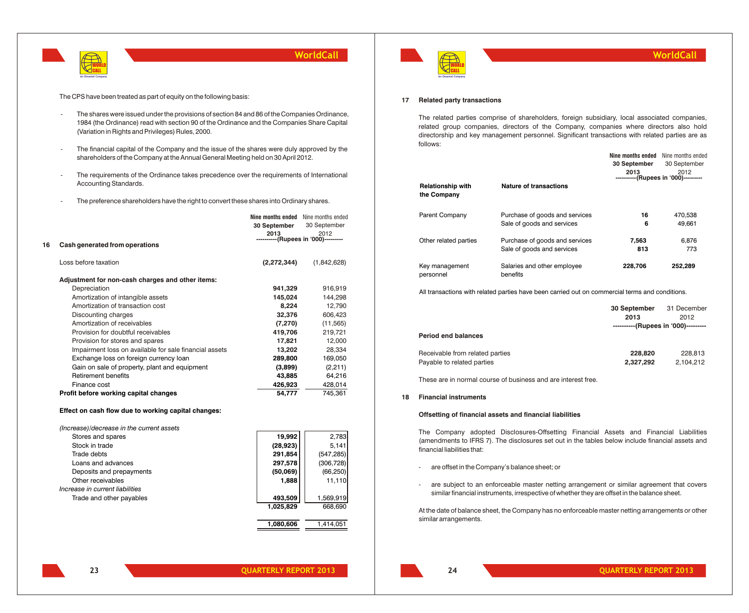

The CPS have been treated as part of equity on the following basis:

- The shares were issued under the provisions of section 84 and 86 of the Companies Ordinance, 1984 (the Ordinance) read with section 90 of the Ordinance and the Companies Share Capital (Variation in Rights and Privileges) Rules, 2000.
- The financial capital of the Company and the issue of the shares were duly approved by the shareholders of the Company at the Annual General Meeting held on 30 April 2012.
- The requirements of the Ordinance takes precedence over the requirements of International Accounting Standards.
- The preference shareholders have the right to convert these shares into Ordinary shares.

|    |                                                        | Nine months ended                   | Nine months ended |
|----|--------------------------------------------------------|-------------------------------------|-------------------|
|    |                                                        | 30 September                        | 30 September      |
|    |                                                        | 2013                                | 2012              |
| 16 | Cash generated from operations                         | ----------(Rupees in '000)--------- |                   |
|    |                                                        |                                     |                   |
|    | Loss before taxation                                   | (2,272,344)                         | (1,842,628)       |
|    | Adjustment for non-cash charges and other items:       |                                     |                   |
|    | Depreciation                                           | 941,329                             | 916,919           |
|    | Amortization of intangible assets                      | 145,024                             | 144,298           |
|    | Amortization of transaction cost                       | 8.224                               | 12,790            |
|    | Discounting charges                                    | 32,376                              | 606,423           |
|    | Amortization of receivables                            | (7,270)                             | (11, 565)         |
|    | Provision for doubtful receivables                     | 419,706                             | 219,721           |
|    | Provision for stores and spares                        | 17,821                              | 12,000            |
|    | Impairment loss on available for sale financial assets | 13,202                              | 28,334            |
|    | Exchange loss on foreign currency loan                 | 289,800                             | 169,050           |
|    | Gain on sale of property, plant and equipment          | (3,899)                             | (2, 211)          |
|    | <b>Retirement benefits</b>                             | 43,885                              | 64,216            |
|    | Finance cost                                           | 426,923                             | 428,014           |
|    | Profit before working capital changes                  | 54,777                              | 745,361           |
|    |                                                        |                                     |                   |

### **Effect on cash flow due to working capital changes:**

*(Increase)/decrease in the current assets*

| Stores and spares               | 19,992    | 2,783      |
|---------------------------------|-----------|------------|
| Stock in trade                  | (28, 923) | 5,141      |
| Trade debts                     | 291,854   | (547, 285) |
| Loans and advances              | 297,578   | (306, 728) |
| Deposits and prepayments        | (50,069)  | (66, 250)  |
| Other receivables               | 1.888     | 11,110     |
| Increase in current liabilities |           |            |
| Trade and other payables        | 493,509   | 1,569,919  |
|                                 | 1,025,829 | 668,690    |
|                                 |           |            |



#### **17 Related party transactions**

The related parties comprise of shareholders, foreign subsidiary, local associated companies, related group companies, directors of the Company, companies where directors also hold directorship and key management personnel. Significant transactions with related parties are as follows:

|                                         |                                         |              | <b>Nine months ended</b> Nine months ended   |
|-----------------------------------------|-----------------------------------------|--------------|----------------------------------------------|
|                                         |                                         | 30 September | 30 September                                 |
|                                         |                                         | 2013         | 2012<br>----------(Rupees in '000)---------- |
| <b>Relationship with</b><br>the Company | <b>Nature of transactions</b>           |              |                                              |
| Parent Company                          | Purchase of goods and services          | 16           | 470.538                                      |
|                                         | Sale of goods and services              | 6            | 49.661                                       |
| Other related parties                   | Purchase of goods and services          | 7.563        | 6.876                                        |
|                                         | Sale of goods and services              | 813          | 773                                          |
| Key management<br>personnel             | Salaries and other employee<br>benefits | 228,706      | 252,289                                      |

All transactions with related parties have been carried out on commercial terms and conditions.

| <b>Period end balances</b>      | 30 September<br>2013<br>----------(Rupees in '000)--------- | 31 December<br>2012 |
|---------------------------------|-------------------------------------------------------------|---------------------|
| Receivable from related parties | 228,820                                                     | 228.813             |
| Payable to related parties      | 2.327.292                                                   | 2,104,212           |

These are in normal course of business and are interest free.

### **18 Financial instruments**

#### **Offsetting of financial assets and financial liabilities**

The Company adopted Disclosures-Offsetting Financial Assets and Financial Liabilities (amendments to IFRS 7). The disclosures set out in the tables below include financial assets and financial liabilities that:

- are offset in the Company's balance sheet; or
- are subject to an enforceable master netting arrangement or similar agreement that covers similar financial instruments, irrespective of whether they are offset in the balance sheet.

At the date of balance sheet, the Company has no enforceable master netting arrangements or other similar arrangements.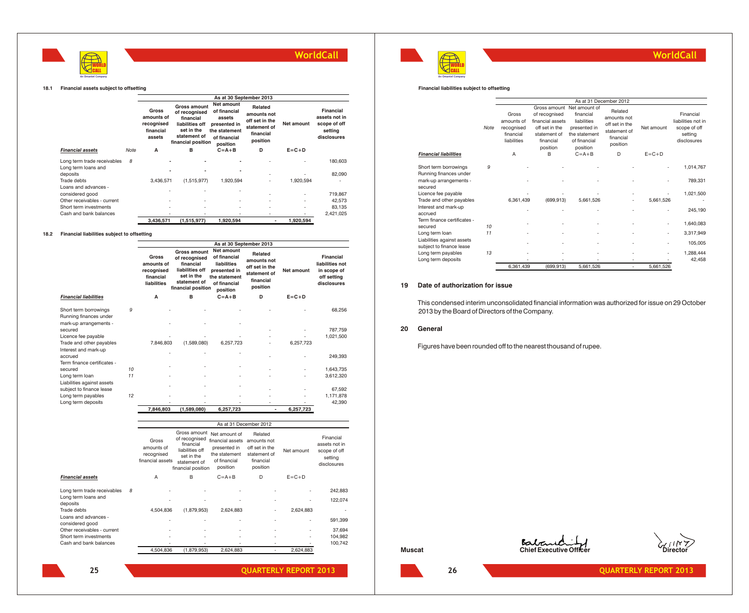

#### **18.1 Financial assets subject to offsetting**

|                             |      |                                                          |                                                                                                                   | As at 30 September 2013                                                                           |                                                                                   |                          |                                                                      |
|-----------------------------|------|----------------------------------------------------------|-------------------------------------------------------------------------------------------------------------------|---------------------------------------------------------------------------------------------------|-----------------------------------------------------------------------------------|--------------------------|----------------------------------------------------------------------|
|                             |      | Gross<br>amounts of<br>recognised<br>financial<br>assets | Gross amount<br>of recognised<br>financial<br>liabilities off<br>set in the<br>statement of<br>financial position | Net amount<br>of financial<br>assets<br>presented in<br>the statement<br>of financial<br>position | Related<br>amounts not<br>off set in the<br>statement of<br>financial<br>position | Net amount               | Financial<br>assets not in<br>scope of off<br>setting<br>disclosures |
| <b>Financial assets</b>     | Note | A                                                        | в                                                                                                                 | $C = A + B$                                                                                       | D                                                                                 | $E = C + D$              |                                                                      |
| Long term trade receivables | 8    |                                                          |                                                                                                                   |                                                                                                   | ÷                                                                                 |                          | 180.603                                                              |
| Long term loans and         |      |                                                          |                                                                                                                   |                                                                                                   |                                                                                   |                          |                                                                      |
| deposits<br>Trade debts     |      | 3.436.571                                                | (1,515,977)                                                                                                       | 1.920.594                                                                                         | $\overline{\phantom{a}}$<br>٠                                                     | 1,920,594                | 82.090                                                               |
| Loans and advances -        |      |                                                          |                                                                                                                   |                                                                                                   |                                                                                   |                          |                                                                      |
| considered good             |      |                                                          |                                                                                                                   |                                                                                                   | ٠                                                                                 | $\overline{\phantom{a}}$ | 719,867                                                              |
| Other receivables - current |      |                                                          |                                                                                                                   |                                                                                                   | $\overline{\phantom{a}}$                                                          | $\overline{\phantom{a}}$ | 42,573                                                               |
| Short term investments      |      |                                                          | ٠                                                                                                                 | $\overline{\phantom{a}}$                                                                          | ٠                                                                                 | $\overline{\phantom{a}}$ | 83,135                                                               |
| Cash and bank balances      |      |                                                          |                                                                                                                   |                                                                                                   | $\overline{\phantom{a}}$                                                          |                          | 2,421,025                                                            |
|                             |      | 3.436.571                                                | (1.515.977)                                                                                                       | 1.920.594                                                                                         | ٠                                                                                 | 1.920.594                |                                                                      |

#### **18.2 Financial liabilities subject to offsetting**

|                                                  |    |                                                                      |                                                                                                                   |                                                                                                               | As at 30 September 2013                                                           |             |                                                                           |
|--------------------------------------------------|----|----------------------------------------------------------------------|-------------------------------------------------------------------------------------------------------------------|---------------------------------------------------------------------------------------------------------------|-----------------------------------------------------------------------------------|-------------|---------------------------------------------------------------------------|
|                                                  |    | <b>Gross</b><br>amounts of<br>recognised<br>financial<br>liabilities | Gross amount<br>of recognised<br>financial<br>liabilities off<br>set in the<br>statement of<br>financial position | Net amount<br>of financial<br><b>liabilities</b><br>presented in<br>the statement<br>of financial<br>position | Related<br>amounts not<br>off set in the<br>statement of<br>financial<br>position | Net amount  | Financial<br>liabilities not<br>in scope of<br>off setting<br>disclosures |
| <b>Financial liabilities</b>                     |    | A                                                                    | в                                                                                                                 | $C = A + B$                                                                                                   | D                                                                                 | $E = C + D$ |                                                                           |
| Short term borrowings<br>Running finances under  | 9  |                                                                      |                                                                                                                   |                                                                                                               |                                                                                   |             | 68,256                                                                    |
| mark-up arrangements -<br>secured                |    |                                                                      |                                                                                                                   |                                                                                                               |                                                                                   |             | 787,759                                                                   |
| Licence fee payable                              |    |                                                                      |                                                                                                                   |                                                                                                               |                                                                                   |             | 1,021,500                                                                 |
| Trade and other payables<br>Interest and mark-up |    | 7,846,803                                                            | (1,589,080)                                                                                                       | 6,257,723                                                                                                     |                                                                                   | 6,257,723   |                                                                           |
| accrued<br>Term finance certificates -           |    |                                                                      |                                                                                                                   |                                                                                                               |                                                                                   |             | 249.393                                                                   |
| secured                                          | 10 |                                                                      |                                                                                                                   |                                                                                                               |                                                                                   |             | 1,643,735                                                                 |
| Long term loan<br>Liabilities against assets     | 11 |                                                                      |                                                                                                                   |                                                                                                               |                                                                                   |             | 3,612,320                                                                 |
| subject to finance lease                         |    |                                                                      |                                                                                                                   |                                                                                                               |                                                                                   |             | 67,592                                                                    |
| Long term payables                               | 12 |                                                                      |                                                                                                                   |                                                                                                               |                                                                                   |             | 1,171,878                                                                 |
| Long term deposits                               |    |                                                                      |                                                                                                                   |                                                                                                               |                                                                                   |             | 42,390                                                                    |
|                                                  |    | 7,846,803                                                            | (1,589,080)                                                                                                       | 6,257,723                                                                                                     | ٠                                                                                 | 6,257,723   |                                                                           |

|                                         |   |                                                       |                                                                                                                   |                                                                                                | As at 31 December 2012                                                            |                          |                                                                      |
|-----------------------------------------|---|-------------------------------------------------------|-------------------------------------------------------------------------------------------------------------------|------------------------------------------------------------------------------------------------|-----------------------------------------------------------------------------------|--------------------------|----------------------------------------------------------------------|
|                                         |   | Gross<br>amounts of<br>recognised<br>financial assets | Gross amount<br>of recognised<br>financial<br>liabilities off<br>set in the<br>statement of<br>financial position | Net amount of<br>financial assets<br>presented in<br>the statement<br>of financial<br>position | Related<br>amounts not<br>off set in the<br>statement of<br>financial<br>position | Net amount               | Financial<br>assets not in<br>scope of off<br>setting<br>disclosures |
| <b>Financial assets</b>                 |   | A                                                     | B                                                                                                                 | $C = A + B$                                                                                    | D                                                                                 | $E = C + D$              |                                                                      |
| Long term trade receivables             | 8 |                                                       |                                                                                                                   |                                                                                                |                                                                                   |                          | 242.883                                                              |
| Long term loans and<br>deposits         |   |                                                       |                                                                                                                   |                                                                                                |                                                                                   |                          | 122.074                                                              |
| Trade debts                             |   | 4.504.836                                             | (1,879,953)                                                                                                       | 2,624,883                                                                                      |                                                                                   | 2,624,883                |                                                                      |
| Loans and advances -<br>considered good |   | ٠                                                     | ٠                                                                                                                 | $\overline{\phantom{0}}$                                                                       | ٠                                                                                 | $\overline{\phantom{0}}$ | 591.399                                                              |
| Other receivables - current             |   |                                                       |                                                                                                                   |                                                                                                |                                                                                   |                          | 37.694                                                               |
| Short term investments                  |   |                                                       |                                                                                                                   | $\overline{a}$                                                                                 |                                                                                   | $\overline{a}$           | 104.982                                                              |
| Cash and bank balances                  |   |                                                       |                                                                                                                   |                                                                                                | ٠                                                                                 |                          | 100,742                                                              |
|                                         |   | 4,504,836                                             | (1,879,953)                                                                                                       | 2,624,883                                                                                      |                                                                                   | 2,624,883                |                                                                      |



**QUARTERLY REPORT 2013 QUARTERLY REPORT 2013**



### **WorldCall**

#### **Financial liabilities subject to offsetting**

|                                                 |      |                                                               |                                                                                              |                                                                                                                     | As at 31 December 2012                                                            |                          |                                                                           |
|-------------------------------------------------|------|---------------------------------------------------------------|----------------------------------------------------------------------------------------------|---------------------------------------------------------------------------------------------------------------------|-----------------------------------------------------------------------------------|--------------------------|---------------------------------------------------------------------------|
|                                                 | Note | Gross<br>amounts of<br>recognised<br>financial<br>liabilities | of recognised<br>financial assets<br>off set in the<br>statement of<br>financial<br>position | Gross amount Net amount of<br>financial<br>liabilities<br>presented in<br>the statement<br>of financial<br>position | Related<br>amounts not<br>off set in the<br>statement of<br>financial<br>position | Net amount               | Financial<br>liabilities not in<br>scope of off<br>setting<br>disclosures |
| <b>Financial liabilities</b>                    |      | $\overline{A}$                                                | B                                                                                            | $C = A + B$                                                                                                         | D                                                                                 | $E = C + D$              |                                                                           |
| Short term borrowings<br>Running finances under | 9    |                                                               |                                                                                              |                                                                                                                     |                                                                                   |                          | 1,014,767                                                                 |
| mark-up arrangements -<br>secured               |      |                                                               |                                                                                              |                                                                                                                     |                                                                                   |                          | 789.331                                                                   |
| Licence fee payable<br>Trade and other payables |      | 6,361,439                                                     | (699.913)                                                                                    | 5.661.526                                                                                                           |                                                                                   | 5.661.526                | 1,021,500                                                                 |
| Interest and mark-up<br>accrued                 |      |                                                               |                                                                                              |                                                                                                                     |                                                                                   |                          | 245.190                                                                   |
| Term finance certificates -<br>secured          | 10   |                                                               |                                                                                              |                                                                                                                     |                                                                                   |                          | 1,640,083                                                                 |
| Long term loan<br>Liabilities against assets    | 11   |                                                               |                                                                                              |                                                                                                                     |                                                                                   | $\overline{\phantom{0}}$ | 3,317,949<br>105,005                                                      |
| subject to finance lease<br>Long term payables  | 13   |                                                               |                                                                                              |                                                                                                                     |                                                                                   |                          | 1,288,444                                                                 |
| Long term deposits                              |      |                                                               |                                                                                              |                                                                                                                     |                                                                                   |                          | 42.458                                                                    |
|                                                 |      | 6,361,439                                                     | (699, 913)                                                                                   | 5,661,526                                                                                                           | ٠                                                                                 | 5,661,526                |                                                                           |

### **19 Date of authorization for issue**

This condensed interim unconsolidated financial information was authorized for issue on 29 October 2013 by the Board of Directors of the Company.

### **20 General**

Figures have been rounded off to the nearest thousand of rupee.



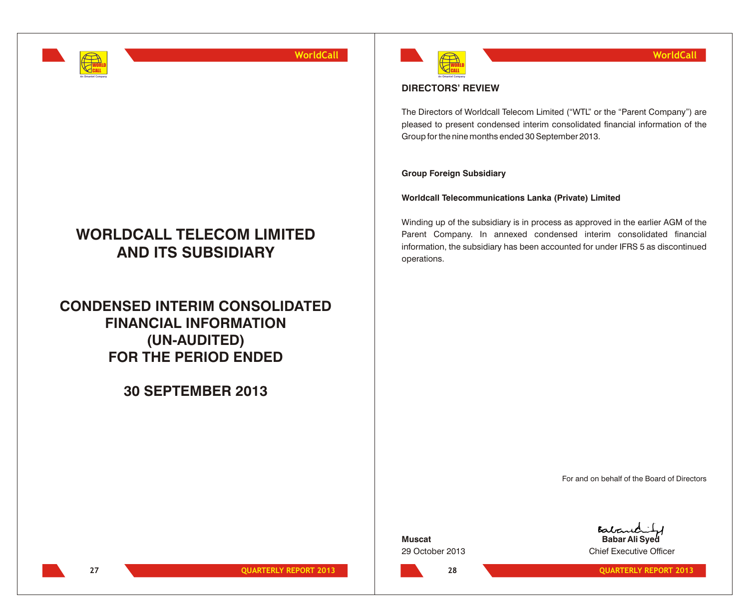

## **WORLDCALL TELECOM LIMITED AND ITS SUBSIDIARY**

**CONDENSED INTERIM CONSOLIDATED FINANCIAL INFORMATION (UN-AUDITED) FOR THE PERIOD ENDED**

**30 SEPTEMBER 2013**



### **DIRECTORS' REVIEW**

The Directors of Worldcall Telecom Limited ("WTL" or the "Parent Company") are pleased to present condensed interim consolidated financial information of the Group for the nine months ended 30 September 2013.

### **Group Foreign Subsidiary**

**Worldcall Telecommunications Lanka (Private) Limited**

Winding up of the subsidiary is in process as approved in the earlier AGM of the Parent Company. In annexed condensed interim consolidated financial information, the subsidiary has been accounted for under IFRS 5 as discontinued operations.

For and on behalf of the Board of Directors

**Muscat**

**28**

Baban **Babar Ali Syed** 29 October 2013 Chief Executive Officer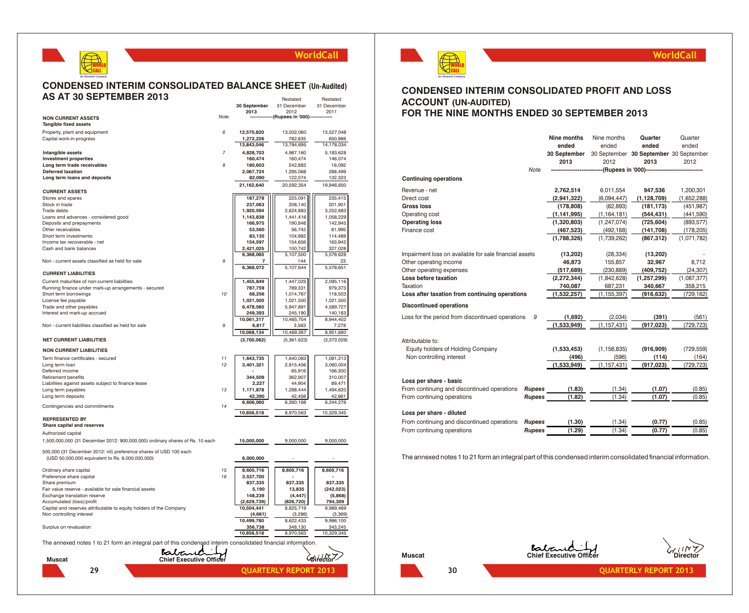

### **CONDENSED INTERIM CONSOLIDATED BALANCE SHEET (Un-Audited) AS AT 30 SEPTEMBER 2013** Restated Restated

|                                                                                                               |                                         | 30 September           | 31 December                  | 31 December |
|---------------------------------------------------------------------------------------------------------------|-----------------------------------------|------------------------|------------------------------|-------------|
|                                                                                                               | Note                                    | 2013                   | 2012                         | 2011        |
| <b>NON CURRENT ASSETS</b><br><b>Tangible fixed assets</b>                                                     |                                         |                        | (Rupees in '000)-            |             |
| Property, plant and equipment                                                                                 | 6                                       | 12,570,820             | 13,002,060                   | 13,527,048  |
| Capital work-in-progress                                                                                      |                                         | 1,272,226              | 782,635                      | 650,986     |
|                                                                                                               |                                         | 13,843,046             | 13,784,695                   | 14,178,034  |
| Intangible assets                                                                                             | $\overline{7}$                          | 4,828,703              | 4,987,160                    | 5,183,628   |
| <b>Investment properties</b>                                                                                  |                                         | 160.474                | 160.474                      | 146.074     |
| Long term trade receivables                                                                                   | 8                                       | 180.603                | 242.883                      | 18.092      |
| <b>Deferred taxation</b>                                                                                      |                                         | 2,067,724              | 1,295,068                    | 288,499     |
| Long term loans and deposits                                                                                  |                                         | 82,090                 | 122,074                      | 132,323     |
| <b>CURRENT ASSETS</b>                                                                                         |                                         | 21,162,640             | 20,592,354                   | 19,946,650  |
| Stores and spares                                                                                             |                                         | 187,278                | 225,091                      | 235,415     |
| Stock in trade                                                                                                |                                         | 237,063                | 208,140                      | 201,901     |
| Trade debts                                                                                                   |                                         | 1,920,594              | 2,624,883                    | 3,252,683   |
| Loans and advances - considered good                                                                          |                                         | 1,143,838              | 1,441,416                    | 1,058,229   |
| Deposits and prepayments                                                                                      |                                         | 166,975                | 190,848                      | 142.945     |
| Other receivables                                                                                             |                                         | 53,560                 | 56,742                       | 81,995      |
| Short term investments                                                                                        |                                         | 83,135                 | 104,982                      | 114,489     |
| Income tax recoverable - net                                                                                  |                                         | 154,597                | 154,656                      | 163,943     |
| Cash and bank balances                                                                                        |                                         | 2,421,025              | 100,742                      | 327,028     |
|                                                                                                               |                                         | 6,368,065              | 5,107,500                    | 5,578,628   |
| Non - current assets classified as held for sale                                                              | 9                                       | 7                      | 144                          | 23          |
| <b>CURRENT LIABILITIES</b>                                                                                    |                                         | 6,368,072              | 5,107,644                    | 5,578,651   |
| Current maturities of non-current liabilities                                                                 |                                         | 1,455,849              | 1,447,025                    | 2,095,116   |
| Running finance under mark-up arrangements - secured                                                          |                                         | 787,759                | 789,331                      | 979,373     |
| Short term borrowings                                                                                         | 10                                      | 68,256                 | 1,014,767                    | 118,503     |
| License fee payable                                                                                           |                                         | 1,021,500              | 1,021,500                    | 1,021,500   |
| Trade and other payables                                                                                      |                                         | 6,478,560              | 5,947,891                    | 4,589,727   |
| Interest and mark-up accrued                                                                                  |                                         | 249,393                | 245,190                      | 140,183     |
|                                                                                                               |                                         | 10,061,317             | 10,465,704                   | 8,944,402   |
| Non - current liabilities classified as held for sale                                                         | 9                                       | 6,817                  | 3,563                        | 7,278       |
|                                                                                                               |                                         | 10,068,134             | 10,469,267                   | 8,951,680   |
| <b>NET CURRENT LIABILITIES</b>                                                                                |                                         | (3,700,062)            | (5,361,623)                  | (3,373,029) |
| <b>NON CURRENT LIABILITIES</b>                                                                                |                                         |                        |                              |             |
| Term finance certificates - secured                                                                           | 11                                      | 1,643,735              | 1,640,083                    | 1,081,213   |
| Long term loan                                                                                                | 12                                      | 3,401,321              | 2,815,456                    | 3,060,004   |
| Deferred income                                                                                               |                                         |                        | 65.916                       | 166,300     |
| Retirement benefits                                                                                           |                                         | 344.509                | 362,907                      | 310.007     |
| Liabilities against assets subject to finance lease                                                           |                                         | 2,227                  | 44.904                       | 89.471      |
| Long term payables                                                                                            | 13                                      | 1,171,878              | 1,288,444                    | 1,494,620   |
| Long term deposits                                                                                            |                                         | 42.390<br>6,606,060    | 42.458                       | 42.661      |
| Contingencies and commitments                                                                                 | 14                                      |                        | 6,260,168                    | 6,244,276   |
| <b>REPRESENTED BY</b>                                                                                         |                                         | 10,856,518             | 8,970,563                    | 10,329,345  |
| Share capital and reserves                                                                                    |                                         |                        |                              |             |
| Authorized capital                                                                                            |                                         |                        |                              |             |
| 1,500,000,000 (31 December 2012: 900,000,000) ordinary shares of Rs. 10 each                                  |                                         | 15,000,000             | 9,000,000                    | 9,000,000   |
| 500,000 (31 December 2012: nil) preference shares of USD 100 each                                             |                                         |                        |                              |             |
| (USD 50,000,000 equivalent to Rs. 6,000,000,000)                                                              |                                         | 6,000,000              |                              |             |
|                                                                                                               | 15                                      |                        |                              |             |
| Ordinary share capital<br>Preference share capital                                                            | 16                                      | 8,605,716<br>3,537,700 | 8,605,716                    | 8,605,716   |
| Share premium                                                                                                 |                                         | 837,335                | 837,335                      | 837,335     |
| Fair value reserve - available for sale financial assets                                                      |                                         | 5,190                  | 13,835                       | (242, 023)  |
| Exchange translation reserve                                                                                  |                                         | 148,239                | (4, 447)                     | (5,868)     |
| Accumulated (loss)/profit                                                                                     |                                         | (2,629,739)            | (826, 720)                   | 794,309     |
| Capital and reserves attributable to equity holders of the Company                                            |                                         | 10,504,441             | 8,625,719                    | 9,989,469   |
| Non controlling interest                                                                                      |                                         | (4,661)                | (3,286)                      | (3,369)     |
|                                                                                                               |                                         | 10,499,780             | 8,622,433                    | 9,986,100   |
| Surplus on revaluation                                                                                        |                                         | 356,738                | 348,130                      | 343,245     |
|                                                                                                               |                                         | 10,856,518             | 8,970,563                    | 10,329,345  |
| The annexed notes 1 to 21 form an integral part of this condensed interim consolidated financial information. |                                         |                        |                              |             |
| <b>Muscat</b>                                                                                                 | Batas<br><b>Chief Executive Officer</b> |                        |                              | Mirector    |
|                                                                                                               |                                         |                        |                              |             |
| 29                                                                                                            |                                         |                        | <b>QUARTERLY REPORT 2013</b> |             |
|                                                                                                               |                                         |                        |                              |             |



### **WorldCall**

### **CONDENSED INTERIM CONSOLIDATED PROFIT AND LOSS ACCOUNT (UN-AUDITED) FOR THE NINE MONTHS ENDED 30 SEPTEMBER 2013**

|                                                        |               | Nine months            | Nine months          | Quarter                                | Quarter               |
|--------------------------------------------------------|---------------|------------------------|----------------------|----------------------------------------|-----------------------|
|                                                        |               | ended                  | ended                | ended                                  | ended                 |
|                                                        |               | 30 September           |                      | 30 September 30 September 30 September |                       |
|                                                        |               | 2013                   | 2012                 | 2013                                   | 2012                  |
|                                                        | <b>Note</b>   |                        |                      | -(Rupees in '000)-------               |                       |
| <b>Continuing operations</b>                           |               |                        |                      |                                        |                       |
| Revenue - net                                          |               | 2,762,514              | 6,011,554            | 947,536                                | 1,200,301             |
| Direct cost                                            |               | (2,941,322)            | (6,094,447)          | (1, 128, 709)                          | (1,652,288)           |
| <b>Gross loss</b>                                      |               | (178, 808)             | (82, 893)            | (181, 173)                             | (451, 987)            |
| Operating cost                                         |               | (1, 141, 995)          | (1, 164, 181)        | (544, 431)                             | (441, 590)            |
| <b>Operating loss</b>                                  |               | (1,320,803)            | (1, 247, 074)        | (725, 604)                             | (893, 577)            |
| Finance cost                                           |               | (467, 523)             | (492, 188)           | (141, 708)                             | (178, 205)            |
|                                                        |               | (1,788,326)            | (1,739,262)          | (867, 312)                             | (1,071,782)           |
| Impairment loss on available for sale financial assets |               |                        |                      |                                        |                       |
| Other operating income                                 |               | (13,202)<br>46,873     | (28, 334)<br>155,857 | (13,202)<br>32,967                     | 8,712                 |
| Other operating expenses                               |               | (517, 689)             | (230, 889)           | (409, 752)                             |                       |
| Loss before taxation                                   |               | (2, 272, 344)          | (1,842,628)          | (1, 257, 299)                          | (24, 307)             |
| Taxation                                               |               |                        |                      |                                        | (1,087,377)           |
| Loss after taxation from continuing operations         |               | 740,087<br>(1,532,257) | 687,231              | 340,667                                | 358,215<br>(729, 162) |
|                                                        |               |                        | (1, 155, 397)        | (916, 632)                             |                       |
| <b>Discontinued operations</b>                         |               |                        |                      |                                        |                       |
| Loss for the period from discontinued operations       | 9             | (1,692)                | (2,034)              | (391)                                  | (561)                 |
|                                                        |               | (1,533,949)            | (1, 157, 431)        | (917, 023)                             | (729, 723)            |
|                                                        |               |                        |                      |                                        |                       |
| Attributable to:                                       |               |                        |                      |                                        |                       |
| Equity holders of Holding Company                      |               | (1,533,453)            | (1, 156, 835)        | (916, 909)                             | (729, 559)            |
| Non controlling interest                               |               | (496)                  | (596)                | (114)                                  | (164)                 |
|                                                        |               | (1,533,949)            | (1, 157, 431)        | (917, 023)                             | (729, 723)            |
| Loss per share - basic                                 |               |                        |                      |                                        |                       |
| From continuing and discontinued operations            | <b>Rupees</b> | (1.83)                 | (1.34)               | (1.07)                                 | (0.85)                |
| From continuing operations                             | <b>Rupees</b> | (1.82)                 | (1.34)               | (1.07)                                 | (0.85)                |
|                                                        |               |                        |                      |                                        |                       |
| Loss per share - diluted                               |               |                        |                      |                                        |                       |
| From continuing and discontinued operations            | <b>Rupees</b> | (1.30)                 | (1.34)               | (0.77)                                 | (0.85)                |
| From continuing operations                             | <b>Rupees</b> | (1.29)                 | (1.34)               | (0.77)                                 | (0.85)                |

The annexed notes 1 to 21 form an integral part of this condensed interim consolidated financial information.

**Muscat Chief Executive Officer Chief Executive Officer Chief Executive Officer** 



**QUARTERLY REPORT 2013 QUARTERLY REPORT 2013**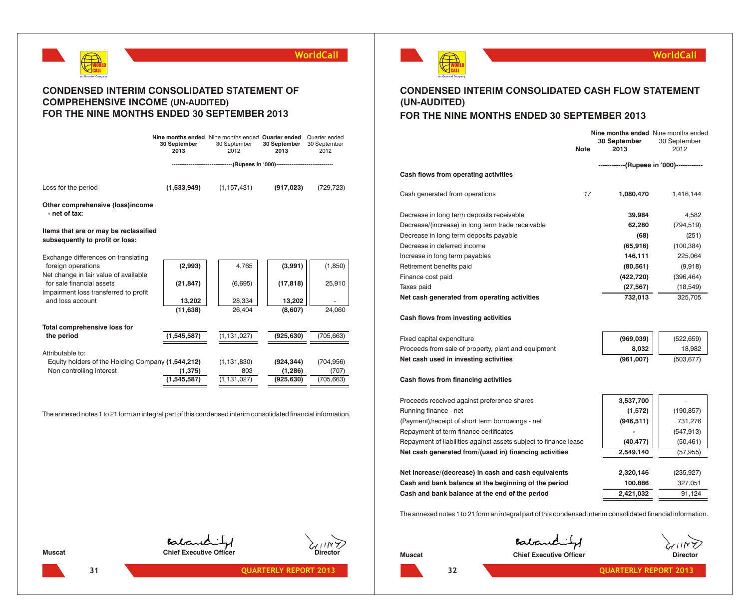

### **CONDENSED INTERIM CONSOLIDATED STATEMENT OF COMPREHENSIVE INCOME (UN-AUDITED) FOR THE NINE MONTHS ENDED 30 SEPTEMBER 2013**

|                                                                               | Nine months ended Nine months ended Quarter ended<br>30 September<br>2013 | 30 September<br>2012                                                   | 30 September<br>2013  | Quarter ended<br>30 September<br>2012 |
|-------------------------------------------------------------------------------|---------------------------------------------------------------------------|------------------------------------------------------------------------|-----------------------|---------------------------------------|
|                                                                               |                                                                           | -----------------------(Rupees in '000)------------------------------- |                       |                                       |
| Loss for the period                                                           | (1,533,949)                                                               | (1, 157, 431)                                                          | (917, 023)            | (729, 723)                            |
| Other comprehensive (loss)income<br>- net of tax:                             |                                                                           |                                                                        |                       |                                       |
| Items that are or may be reclassified<br>subsequently to profit or loss:      |                                                                           |                                                                        |                       |                                       |
| Exchange differences on translating                                           |                                                                           |                                                                        |                       |                                       |
| foreign operations<br>Net change in fair value of available                   | (2,993)                                                                   | 4,765                                                                  | (3,991)               | (1, 850)                              |
| for sale financial assets                                                     | (21, 847)                                                                 | (6,695)                                                                | (17, 818)             | 25,910                                |
| Impairment loss transferred to profit                                         |                                                                           |                                                                        |                       |                                       |
| and loss account                                                              | 13,202                                                                    | 28,334                                                                 | 13,202                |                                       |
|                                                                               | (11, 638)                                                                 | 26,404                                                                 | (8,607)               | 24,060                                |
| Total comprehensive loss for                                                  |                                                                           |                                                                        |                       |                                       |
| the period                                                                    | (1,545,587)                                                               | (1, 131, 027)                                                          | (925, 630)            | (705, 663)                            |
|                                                                               |                                                                           |                                                                        |                       |                                       |
| Attributable to:                                                              |                                                                           |                                                                        |                       |                                       |
| Equity holders of the Holding Company (1,544,212)<br>Non controlling interest | (1, 375)                                                                  | (1, 131, 830)<br>803                                                   | (924, 344)<br>(1,286) | (704, 956)<br>(707)                   |
|                                                                               | (1, 545, 587)                                                             | (1, 131, 027)                                                          | (925, 630)            | (705, 663)                            |
|                                                                               |                                                                           |                                                                        |                       |                                       |

The annexed notes 1 to 21 form an integral part of this condensed interim consolidated financial information.

WORLD CALL **An Omantel Company**

### **WorldCall**

### **CONDENSED INTERIM CONSOLIDATED CASH FLOW STATEMENT (UN-AUDITED) FOR THE NINE MONTHS ENDED 30 SEPTEMBER 2013**

|                                                     | <b>Note</b>                              | <b>Nine months ended</b> Nine months ended<br>30 September<br>2013 | 30 September<br>2012 |
|-----------------------------------------------------|------------------------------------------|--------------------------------------------------------------------|----------------------|
| Cash flows from operating activities                | ------------(Rupees in '000)------------ |                                                                    |                      |
| Cash generated from operations                      | 17                                       | 1,080,470                                                          | 1,416,144            |
| Decrease in long term deposits receivable           |                                          | 39,984                                                             | 4.582                |
| Decrease/(increase) in long term trade receivable   |                                          | 62,280                                                             | (794, 519)           |
| Decrease in long term deposits payable              |                                          | (68)                                                               | (251)                |
| Decrease in deferred income                         |                                          | (65, 916)                                                          | (100, 384)           |
| Increase in long term payables                      |                                          | 146,111                                                            | 225,064              |
| Retirement benefits paid                            |                                          | (80, 561)                                                          | (9,918)              |
| Finance cost paid                                   |                                          | (422, 720)                                                         | (396, 464)           |
| Taxes paid                                          |                                          | (27, 567)                                                          | (18, 549)            |
| Net cash generated from operating activities        |                                          | 732,013                                                            | 325,705              |
| Cash flows from investing activities                |                                          |                                                                    |                      |
| Fixed capital expenditure                           |                                          | (969, 039)                                                         | (522, 659)           |
| Proceeds from sale of property, plant and equipment |                                          | 8,032                                                              | 18,982               |

### **Cash flows from financing activities**

| Proceeds received against preference shares                      | 3,537,700  |            |
|------------------------------------------------------------------|------------|------------|
| Running finance - net                                            | (1,572)    | (190, 857) |
| (Payment)/receipt of short term borrowings - net                 | (946, 511) | 731,276    |
| Repayment of term finance certificates                           |            | (547, 913) |
| Repayment of liabilities against assets subject to finance lease | (40, 477)  | (50, 461)  |
| Net cash generated from/(used in) financing activities           | 2,549,140  | (57,955)   |
|                                                                  |            |            |
| Net increase/(decrease) in cash and cash equivalents             | 2,320,146  | (235, 927) |
| Cash and bank balance at the beginning of the period             | 100,886    | 327.051    |
| Cash and bank balance at the end of the period                   | 2,421,032  | 91.124     |

**Net cash used in investing activities (961,007)** (503,677)

The annexed notes 1 to 21 form an integral part of this condensed interim consolidated financial information.

Batand

**Muscat Chief Executive Officer Chief Executive Officer Director** 

Baband **Muscat Chief Executive Officer Chief Executive Officer Director** 



**12 131 CONSERVISHERLY REPORT 2013 CONSERVISHERLY REPORT 2013 132 CONSERVISHERLY REPORT 2013**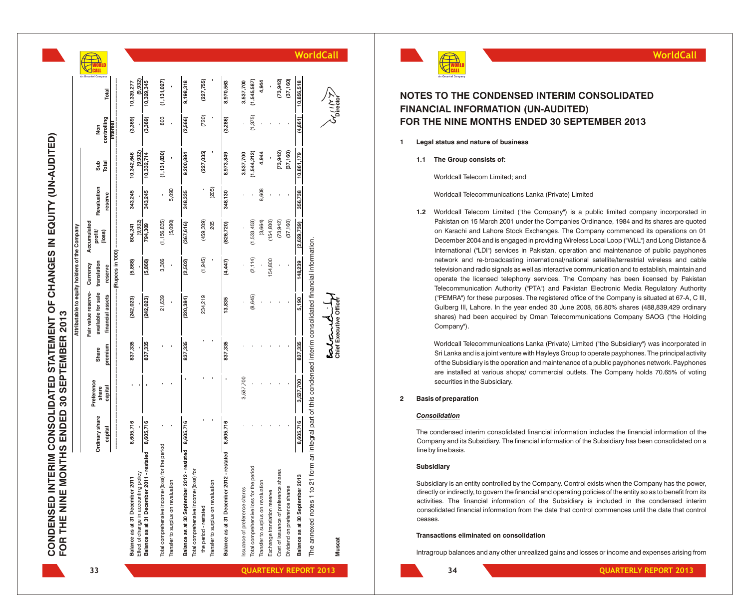EQUITY (UN-AUDITED) **CONDENSED INTERIM CONSOLIDATED STATEMENT OF CHANGES IN EQUITY (UN-AUDITED) CONDENSED INTERIM CONSOLIDATED STATEMENT OF CHANGES IN<br>FOR THE NINE MONTHS ENDED 30 SEPTEMBER 2013 FOR THE NINE MONTHS ENDED 30 SEPTEMBER 2013**

|                                                                                                               |                    |                     |         | Attributable to equity holders of the Company |                         |                                  |             |                       |              |                          |           |
|---------------------------------------------------------------------------------------------------------------|--------------------|---------------------|---------|-----------------------------------------------|-------------------------|----------------------------------|-------------|-----------------------|--------------|--------------------------|-----------|
|                                                                                                               | Ordinary share     | Preference<br>share | Share   | available for sale<br>Fair value reserve-     | translation<br>Currency | Accumulated<br>profit/<br>(loss) | Revaluation | Sub                   | Non          |                          |           |
|                                                                                                               | capital            | capital             | premium | financial assets                              | reserve                 |                                  | reserve     | Total                 | controlling  | Total                    |           |
|                                                                                                               |                    |                     |         |                                               | -(Rupees in 000)        |                                  |             |                       | <b>Teres</b> |                          |           |
| Effect of change in accounting policy<br>Balance as at 31 December 2011                                       | 8,605,716          |                     | 837,335 | (242, 023)                                    | (5,868)                 | (9.932)<br>804,241               | 343,245     | (9.932)<br>10,342,646 | (3,369)      | 9.932<br>10,339,277      |           |
| Balance as at 31 December 2011 - restated                                                                     | 8,605,716          |                     | 837,335 | (242, 023)                                    | (5,868)                 | 794,309                          | 343,245     | 10,332,714            | (3,369)      | 10,329,345               |           |
| the period<br>Total comprehensive income/(loss) for                                                           |                    |                     |         | 21,639                                        | 3,366                   | (1, 156, 835)                    |             | (1, 131, 830)         | 803          | (1, 131, 027)            |           |
| Transfer to surplus on revaluation                                                                            |                    |                     |         |                                               |                         | (5,090)                          | 5,090       |                       |              |                          |           |
| Balance as at 30 September 2012 -                                                                             | restated 8,605,716 |                     | 837,335 | (220, 384)                                    | (2,502)                 | (367, 616)                       | 348,335     | 9,200,884             | (2,566)      | 9,198,318                |           |
| Total comprehensive income/(loss) for<br>the period - restated                                                |                    |                     |         | 234,219                                       | (1,945)                 | (459, 309)                       |             | (227, 035)            | (720)        | (227, 755)               |           |
| Transfer to surplus on revaluation                                                                            |                    |                     |         |                                               |                         | 205                              | (205)       |                       |              |                          |           |
| Balance as at 31 December 2012 - restated                                                                     | 8,605,716          |                     | 837,335 | 13,835                                        | (4,447)                 | (826, 720)                       | 348,130     | 8,973,849             | (3,286)      | 8,970,563                |           |
| ssuance of preference shares                                                                                  |                    | 3,537,700           |         |                                               |                         |                                  |             | 3,537,700             |              | 3,537,700                |           |
| Total comprehensive loss for the period                                                                       |                    |                     |         | (8,645)                                       | (2, 114)                | (1,533,453)                      |             | (1,544,212)           | (1, 375)     | (1,545,587)              |           |
| Transfer to surplus on revaluation                                                                            |                    |                     |         |                                               |                         | (3,664)                          | 8,608       | 4,944                 |              | 4,944                    |           |
| Exchange translation reserve                                                                                  |                    |                     |         |                                               | 54,800                  | (154, 800)                       |             |                       |              |                          |           |
| Cost of issuance of preference shares                                                                         |                    |                     |         |                                               |                         | (73, 942)                        |             | (73, 942)             |              | (73, 942)                |           |
| Dividend on preference shares                                                                                 |                    |                     |         |                                               |                         | (37, 160)                        |             | (37, 160)             |              | (37, 160)                |           |
| Balance as at 30 September 2013                                                                               | 8,605,716          | 3,537,700           | 837,335 | 5,190                                         | 148,239                 | (2,629,739)                      | 356,738     | 10,861,179            | (4,661)      | 10,856,518               |           |
| The annexed notes 1 to 21 form an integral part of this condensed interim consolidated financial information. |                    |                     |         |                                               |                         |                                  |             |                       |              |                          |           |
| <b>Muscat</b>                                                                                                 |                    |                     |         | Chief Executive Officer<br>estant             |                         |                                  |             |                       |              | <b>バートンプ</b><br>Director | WorldCall |
|                                                                                                               |                    |                     |         |                                               |                         |                                  |             |                       |              |                          |           |

### **NOTES TO THE CONDENSED INTERIM CONSOLIDATED FINANCIAL INFORMATION (UN-AUDITED) FOR THE NINE MONTHS ENDED 30 SEPTEMBER 2013**

- **1 Legal status and nature of business**
	- **1.1 The Group consists of:**

Worldcall Telecom Limited; and

Worldcall Telecommunications Lanka (Private) Limited

1.2 Worldcall Telecom Limited ("the Company") is a public limited company incorporated in Pakistan on 15 March 2001 under the Companies Ordinance, 1984 and its shares are quoted on Karachi and Lahore Stock Exchanges. The Company commenced its operations on 01 December 2004 and is engaged in providing Wireless Local Loop ("WLL") and Long Distance & International ("LDI") services in Pakistan, operation and maintenance of public payphones network and re-broadcasting international/national satellite/terrestrial wireless and cable television and radio signals as well as interactive communication and to establish, maintain and operate the licensed telephony services. The Company has been licensed by Pakistan Telecommunication Authority ("PTA") and Pakistan Electronic Media Regulatory Authority ("PEMRA") for these purposes. The registered office of the Company is situated at 67-A, C III, Gulberg III, Lahore. In the year ended 30 June 2008, 56.80% shares (488,839,429 ordinary shares) had been acquired by Oman Telecommunications Company SAOG ("the Holding Company"). **INTERNIM CONSOLIDATED**<br> **INTERNIM CONSOLIDATED**<br> **INTERNIM CONFORMATION (UN-AUDITED)**<br> **INTERNIME MONTHS ENDED 30 SEPTEMBER 2013**<br> **IDENTIFY THE NINE MONTHS ENDED 30 SEPTEMBER 2013**<br> **IDENTIFY THE NINE MONTHS ENDED 30 SEP** 

Worldcall Telecommunications Lanka (Private) Limited ("the Subsidiary") was incorporated in Sri Lanka and is a joint venture with Hayleys Group to operate payphones. The principal activity of the Subsidiary is the operation and maintenance of a public payphones network. Payphones are installed at various shops/ commercial outlets. The Company holds 70.65% of voting securities in the Subsidiary.

### **2 Basis of preparation**

### *Consolidation*

The condensed interim consolidated financial information includes the financial information of the Company and its Subsidiary. The financial information of the Subsidiary has been consolidated on a line by line basis.

### **Subsidiary**

Subsidiary is an entity controlled by the Company. Control exists when the Company has the power, directly or indirectly, to govern the financial and operating policies of the entity so as to benefit from its activities. The financial information of the Subsidiary is included in the condensed interim consolidated financial information from the date that control commences until the date that control ceases.

### **Transactions eliminated on consolidation**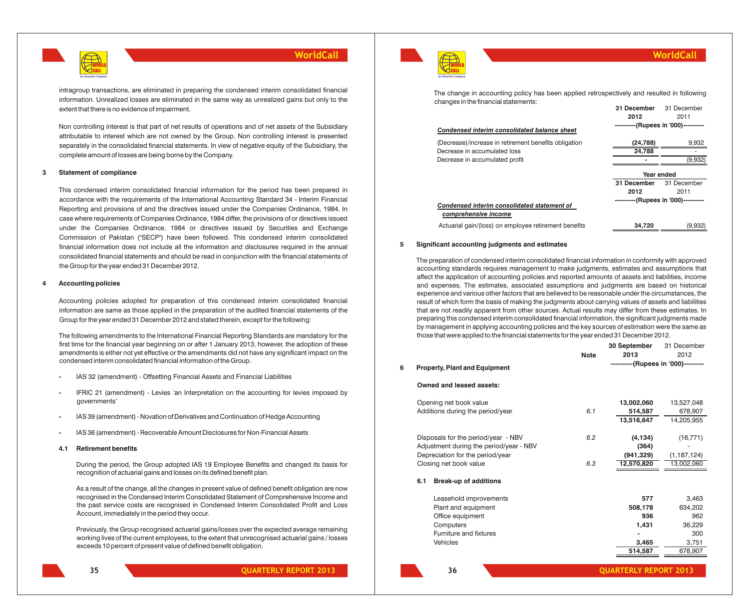

intragroup transactions, are eliminated in preparing the condensed interim consolidated financial information. Unrealized losses are eliminated in the same way as unrealized gains but only to the extent that there is no evidence of impairment.

Non controlling interest is that part of net results of operations and of net assets of the Subsidiary attributable to interest which are not owned by the Group. Non controlling interest is presented separately in the consolidated financial statements. In view of negative equity of the Subsidiary, the complete amount of losses are being borne by the Company.

### **3 Statement of compliance**

This condensed interim consolidated financial information for the period has been prepared in accordance with the requirements of the International Accounting Standard 34 - Interim Financial Reporting and provisions of and the directives issued under the Companies Ordinance, 1984. In case where requirements of Companies Ordinance, 1984 differ, the provisions of or directives issued under the Companies Ordinance, 1984 or directives issued by Securities and Exchange Commission of Pakistan ("SECP") have been followed. This condensed interim consolidated financial information does not include all the information and disclosures required in the annual consolidated financial statements and should be read in conjunction with the financial statements of the Group for the year ended 31 December 2012.

#### **4 Accounting policies**

Accounting policies adopted for preparation of this condensed interim consolidated financial information are same as those applied in the preparation of the audited financial statements of the Group for the year ended 31 December 2012 and stated therein, except for the following:

The following amendments to the International Financial Reporting Standards are mandatory for the first time for the financial year beginning on or after 1 January 2013, however, the adoption of these amendments is either not yet effective or the amendments did not have any significant impact on the condensed interim consolidated financial information of the Group.

- **-** IAS 32 (amendment) Offsetting Financial Assets and Financial Liabilities
- **-** IFRIC 21 (amendment) Levies *'*an Interpretation on the accounting for levies imposed by governments'
- **-** IAS 39 (amendment) Novation of Derivatives and Continuation of Hedge Accounting
- **-** IAS 36 (amendment) Recoverable Amount Disclosures for Non-Financial Assets

#### **4.1 Retirement benefits**

During the period, the Group adopted IAS 19 Employee Benefits and changed its basis for recognition of actuarial gains and losses on its defined benefit plan.

As a result of the change, all the changes in present value of defined benefit obligation are now recognised in the Condensed Interim Consolidated Statement of Comprehensive Income and the past service costs are recognised in Condensed Interim Consolidated Profit and Loss Account, immediately in the period they occur.

Previously, the Group recognised actuarial gains/losses over the expected average remaining working lives of the current employees, to the extent that unrecognised actuarial gains / losses exceeds 10 percent of present value of defined benefit obligation.



**WorldCall**

**2012** 2011

**----------(Rupees in '000)----------**

| The change in accounting policy has been applied retrospectively and resulted in following |             |             |
|--------------------------------------------------------------------------------------------|-------------|-------------|
| changes in the financial statements:                                                       |             |             |
|                                                                                            | 31 December | 31 December |

#### *Condensed interim consolidated balance sheet*

| (Decrease)/increase in retirement benefits obligation | (24, 788)                             | 9,932       |
|-------------------------------------------------------|---------------------------------------|-------------|
| Decrease in accumulated loss                          | 24,788                                |             |
| Decrease in accumulated profit                        |                                       | (9,932)     |
|                                                       | Year ended                            |             |
|                                                       | 31 December                           | 31 December |
|                                                       | 2012                                  | 2011        |
| Condensed interim consolidated statement of           | ----------(Rupees in '000)----------- |             |
| comprehensive income                                  |                                       |             |
| Actuarial gain/(loss) on employee retirement benefits | 34.720                                | (9,932)     |

### **5 Significant accounting judgments and estimates**

The preparation of condensed interim consolidated financial information in conformity with approved accounting standards requires management to make judgments, estimates and assumptions that affect the application of accounting policies and reported amounts of assets and liabilities, income and expenses. The estimates, associated assumptions and judgments are based on historical experience and various other factors that are believed to be reasonable under the circumstances, the result of which form the basis of making the judgments about carrying values of assets and liabilities that are not readily apparent from other sources. Actual results may differ from these estimates. In preparing this condensed interim consolidated financial information, the significant judgments made by management in applying accounting policies and the key sources of estimation were the same as those that were applied to the financial statements for the year ended 31 December 2012.

|   |     |                                         | <b>Note</b> | 30 September<br>2013                | 31 December<br>2012 |
|---|-----|-----------------------------------------|-------------|-------------------------------------|---------------------|
| 6 |     | <b>Property, Plant and Equipment</b>    |             | ----------(Rupees in '000)--------- |                     |
|   |     | Owned and leased assets:                |             |                                     |                     |
|   |     | Opening net book value                  |             | 13,002,060                          | 13,527,048          |
|   |     | Additions during the period/year        | 6.1         | 514,587                             | 678,907             |
|   |     |                                         |             | 13,516,647                          | 14,205,955          |
|   |     | Disposals for the period/year - NBV     | 6.2         | (4, 134)                            | (16, 771)           |
|   |     | Adjustment during the period/year - NBV |             | (364)                               |                     |
|   |     | Depreciation for the period/year        |             | (941, 329)                          | (1, 187, 124)       |
|   |     | Closing net book value                  | 6.3         | 12,570,820                          | 13,002,060          |
|   | 6.1 | <b>Break-up of additions</b>            |             |                                     |                     |
|   |     | Leasehold improvements                  |             | 577                                 | 3,463               |
|   |     | Plant and equipment                     |             | 508,178                             | 634,202             |
|   |     | Office equipment                        |             | 936                                 | 962                 |
|   |     | Computers                               |             | 1,431                               | 36,229              |
|   |     | Furniture and fixtures                  |             |                                     | 300                 |
|   |     | Vehicles                                |             | 3,465                               | 3,751               |
|   |     |                                         |             | 514,587                             | 678,907             |
|   |     |                                         |             |                                     |                     |

**35**

**36**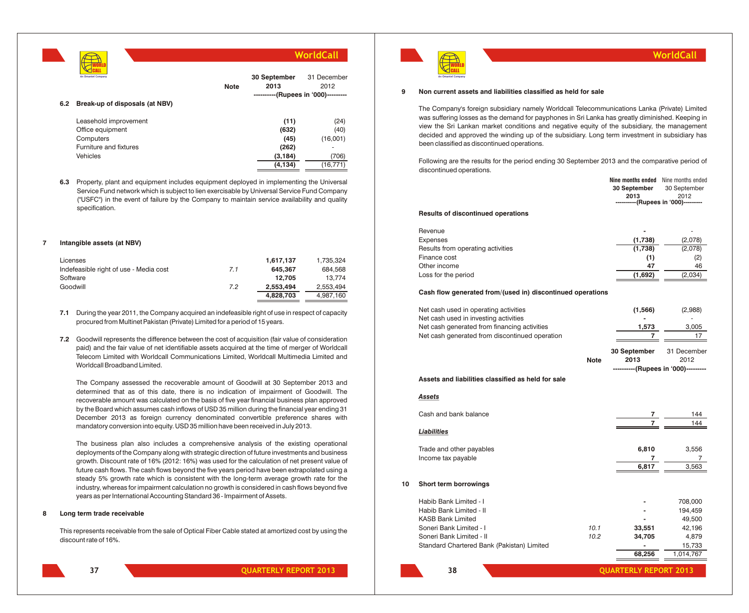|     |                                |             | WorldCall                           |                     |
|-----|--------------------------------|-------------|-------------------------------------|---------------------|
|     | An Omantel Company             | <b>Note</b> | 30 September<br>2013                | 31 December<br>2012 |
| 6.2 | Break-up of disposals (at NBV) |             | ----------(Rupees in '000)--------- |                     |
|     |                                |             |                                     |                     |
|     | Leasehold improvement          |             | (11)                                | (24)                |
|     | Office equipment               |             | (632)                               | (40)                |
|     | Computers                      |             | (45)                                | (16,001)            |
|     | Furniture and fixtures         |             | (262)                               | ۰                   |
|     | Vehicles                       |             | (3, 184)                            | (706)               |
|     |                                |             | (4, 134)                            | (16, 771)           |
|     |                                |             |                                     |                     |

**6.3** Property, plant and equipment includes equipment deployed in implementing the Universal Service Fund network which is subject to lien exercisable by Universal Service Fund Company ("USFC") in the event of failure by the Company to maintain service availability and quality specification.

### **7 Intangible assets (at NBV)**

| Licenses                               |     | 1.617.137 | 1.735.324 |
|----------------------------------------|-----|-----------|-----------|
| Indefeasible right of use - Media cost | 7.1 | 645.367   | 684.568   |
| Software                               |     | 12.705    | 13.774    |
| Goodwill                               | 7.2 | 2.553.494 | 2.553.494 |
|                                        |     | 4.828.703 | 4.987.160 |

- **7.1** During the year 2011, the Company acquired an indefeasible right of use in respect of capacity procured from Multinet Pakistan (Private) Limited for a period of 15 years.
- **7.2** Goodwill represents the difference between the cost of acquisition (fair value of consideration paid) and the fair value of net identifiable assets acquired at the time of merger of Worldcall Telecom Limited with Worldcall Communications Limited, Worldcall Multimedia Limited and Worldcall Broadband Limited.

The Company assessed the recoverable amount of Goodwill at 30 September 2013 and determined that as of this date, there is no indication of impairment of Goodwill. The recoverable amount was calculated on the basis of five year financial business plan approved by the Board which assumes cash inflows of USD 35 million during the financial year ending 31 December 2013 as foreign currency denominated convertible preference shares with mandatory conversion into equity. USD 35 million have been received in July 2013.

The business plan also includes a comprehensive analysis of the existing operational deployments of the Company along with strategic direction of future investments and business growth. Discount rate of 16% (2012: 16%) was used for the calculation of net present value of future cash flows. The cash flows beyond the five years period have been extrapolated using a steady 5% growth rate which is consistent with the long-term average growth rate for the industry, whereas for impairment calculation no growth is considered in cash flows beyond five years as per International Accounting Standard 36 - Impairment of Assets.

### **8 Long term trade receivable**

This represents receivable from the sale of Optical Fiber Cable stated at amortized cost by using the discount rate of 16%.



**QUARTERLY REPORT 2013 QUARTERLY REPORT 2013**



### **9 Non current assets and liabilities classified as held for sale**

The Company's foreign subsidiary namely Worldcall Telecommunications Lanka (Private) Limited was suffering losses as the demand for payphones in Sri Lanka has greatly diminished. Keeping in view the Sri Lankan market conditions and negative equity of the subsidiary, the management decided and approved the winding up of the subsidiary. Long term investment in subsidiary has been classified as discontinued operations.

Following are the results for the period ending 30 September 2013 and the comparative period of discontinued operations.

|     | Nine months ended Nine months ended |              |
|-----|-------------------------------------|--------------|
|     | 30 September                        | 30 September |
|     | 2013                                | 2012         |
|     | ----------(Rupees in '000)--------- |              |
| --- |                                     |              |

#### **Results of discontinued operations**

| Revenue                           | -       |         |
|-----------------------------------|---------|---------|
| Expenses                          | (1,738) | (2,078) |
| Results from operating activities | (1,738) | (2,078) |
| Finance cost                      | (1)     | (2)     |
| Other income                      | 47      | 46      |
| Loss for the period               | (1,692) | (2,034) |

### **Cash flow generated from/(used in) discontinued operations**

|    | Net cash used in operating activities<br>Net cash used in investing activities<br>Net cash generated from financing activities<br>Net cash generated from discontinued operation   |              | (1, 566)<br>1,573<br>7<br>30 September | (2,988)<br>3,005<br>17<br>31 December                                  |
|----|------------------------------------------------------------------------------------------------------------------------------------------------------------------------------------|--------------|----------------------------------------|------------------------------------------------------------------------|
|    |                                                                                                                                                                                    | <b>Note</b>  | 2013                                   | 2012                                                                   |
|    | Assets and liabilities classified as held for sale                                                                                                                                 |              | ----------(Rupees in '000)---------    |                                                                        |
|    | <b>Assets</b>                                                                                                                                                                      |              |                                        |                                                                        |
|    | Cash and bank balance                                                                                                                                                              |              | 7                                      | 144<br>144                                                             |
|    | <b>Liabilities</b>                                                                                                                                                                 |              |                                        |                                                                        |
|    | Trade and other payables<br>Income tax payable                                                                                                                                     |              | 6,810<br>$\overline{7}$<br>6,817       | 3,556<br>7<br>3,563                                                    |
| 10 | Short term borrowings                                                                                                                                                              |              |                                        |                                                                        |
|    | Habib Bank Limited - I<br>Habib Bank Limited - II<br><b>KASB Bank Limited</b><br>Soneri Bank Limited - I<br>Soneri Bank Limited - II<br>Standard Chartered Bank (Pakistan) Limited | 10.1<br>10.2 | 33,551<br>34,705<br>68,256             | 708,000<br>194,459<br>49,500<br>42,196<br>4,879<br>15,733<br>1,014,767 |
|    |                                                                                                                                                                                    |              |                                        |                                                                        |

**WorldCall**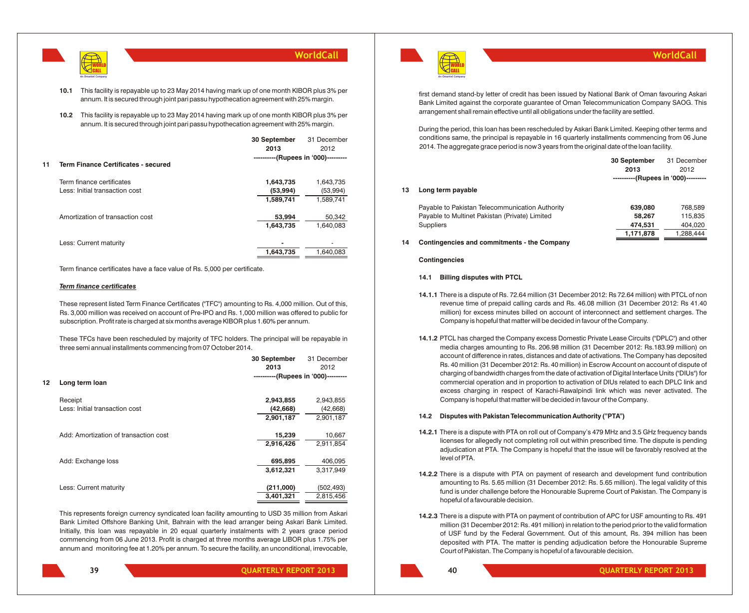

**10.1** This facility is repayable up to 23 May 2014 having mark up of one month KIBOR plus 3% per annum. It is secured through joint pari passu hypothecation agreement with 25% margin.

**10.2** This facility is repayable up to 23 May 2014 having mark up of one month KIBOR plus 3% per annum. It is secured through joint pari passu hypothecation agreement with 25% margin.

|    |                                            | 30 September                        | 31 December |
|----|--------------------------------------------|-------------------------------------|-------------|
|    |                                            | 2013                                | 2012        |
|    |                                            | ----------(Rupees in '000)--------- |             |
| 11 | <b>Term Finance Certificates - secured</b> |                                     |             |
|    | Term finance certificates                  | 1,643,735                           | 1,643,735   |
|    | Less: Initial transaction cost             | (53,994)                            | (53,994)    |
|    |                                            | 1,589,741                           | 1,589,741   |
|    | Amortization of transaction cost           | 53,994                              | 50,342      |
|    |                                            | 1,643,735                           | 1,640,083   |
|    | Less: Current maturity                     |                                     |             |
|    |                                            | 1,643,735                           | 1.640.083   |
|    |                                            |                                     |             |

Term finance certificates have a face value of Rs. 5,000 per certificate.

### *Term finance certificates*

These represent listed Term Finance Certificates ("TFC") amounting to Rs. 4,000 million. Out of this, Rs. 3,000 million was received on account of Pre-IPO and Rs. 1,000 million was offered to public for subscription. Profit rate is charged at six months average KIBOR plus 1.60% per annum.

These TFCs have been rescheduled by majority of TFC holders. The principal will be repayable in three semi annual installments commencing from 07 October 2014.

|    |                                       | 30 September<br>2013                | 31 December<br>2012 |
|----|---------------------------------------|-------------------------------------|---------------------|
| 12 | Long term loan                        | ----------(Rupees in '000)--------- |                     |
|    | Receipt                               | 2,943,855                           | 2,943,855           |
|    | Less: Initial transaction cost        | (42, 668)                           | (42,668)            |
|    |                                       | 2,901,187                           | 2,901,187           |
|    | Add: Amortization of transaction cost | 15,239                              | 10,667              |
|    |                                       | 2,916,426                           | 2,911,854           |
|    | Add: Exchange loss                    | 695,895                             | 406,095             |
|    |                                       | 3,612,321                           | 3,317,949           |
|    | Less: Current maturity                | (211,000)                           | (502,493)           |
|    |                                       | 3,401,321                           | 2,815,456           |
|    |                                       |                                     |                     |

This represents foreign currency syndicated loan facility amounting to USD 35 million from Askari Bank Limited Offshore Banking Unit, Bahrain with the lead arranger being Askari Bank Limited. Initially, this loan was repayable in 20 equal quarterly instalments with 2 years grace period commencing from 06 June 2013. Profit is charged at three months average LIBOR plus 1.75% per annum and monitoring fee at 1.20% per annum. To secure the facility, an unconditional, irrevocable,

**39**



first demand stand-by letter of credit has been issued by National Bank of Oman favouring Askari Bank Limited against the corporate guarantee of Oman Telecommunication Company SAOG. This arrangement shall remain effective until all obligations under the facility are settled.

During the period, this loan has been rescheduled by Askari Bank Limited. Keeping other terms and conditions same, the principal is repayable in 16 quarterly installments commencing from 06 June 2014. The aggregate grace period is now 3 years from the original date of the loan facility.

|    |                                                 | 30 September                        | 31 December |
|----|-------------------------------------------------|-------------------------------------|-------------|
|    |                                                 | 2013                                | 2012        |
|    |                                                 | ----------(Rupees in '000)--------- |             |
| 13 | Long term payable                               |                                     |             |
|    | Payable to Pakistan Telecommunication Authority | 639,080                             | 768,589     |
|    | Payable to Multinet Pakistan (Private) Limited  | 58.267                              | 115.835     |
|    | <b>Suppliers</b>                                | 474,531                             | 404,020     |
|    |                                                 | 1,171,878                           | 1,288,444   |

### **14 Contingencies and commitments - the Company**

### **Contingencies**

### **14.1 Billing disputes with PTCL**

- **14.1.1** There is a dispute of Rs. 72.64 million (31 December 2012: Rs 72.64 million) with PTCL of non revenue time of prepaid calling cards and Rs. 46.08 million (31 December 2012: Rs 41.40 million) for excess minutes billed on account of interconnect and settlement charges. The Company is hopeful that matter will be decided in favour of the Company.
- **14.1.2** PTCL has charged the Company excess Domestic Private Lease Circuits ("DPLC") and other media charges amounting to Rs. 206.98 million (31 December 2012: Rs.183.99 million) on account of difference in rates, distances and date of activations. The Company has deposited Rs. 40 million (31 December 2012: Rs. 40 million) in Escrow Account on account of dispute of charging of bandwidth charges from the date of activation of Digital Interface Units ("DIUs") for commercial operation and in proportion to activation of DIUs related to each DPLC link and excess charging in respect of Karachi-Rawalpindi link which was never activated. The Company is hopeful that matter will be decided in favour of the Company.

### **14.2 Disputes with Pakistan Telecommunication Authority ("PTA")**

- **14.2.1** There is a dispute with PTA on roll out of Company's 479 MHz and 3.5 GHz frequency bands licenses for allegedly not completing roll out within prescribed time. The dispute is pending adjudication at PTA. The Company is hopeful that the issue will be favorably resolved at the level of PTA.
- **14.2.2** There is a dispute with PTA on payment of research and development fund contribution amounting to Rs. 5.65 million (31 December 2012: Rs. 5.65 million). The legal validity of this fund is under challenge before the Honourable Supreme Court of Pakistan. The Company is hopeful of a favourable decision.
- **14.2.3** There is a dispute with PTA on payment of contribution of APC for USF amounting to Rs. 491 million (31 December 2012: Rs. 491 million) in relation to the period prior to the valid formation of USF fund by the Federal Government. Out of this amount, Rs. 394 million has been deposited with PTA. The matter is pending adjudication before the Honourable Supreme Court of Pakistan. The Company is hopeful of a favourable decision.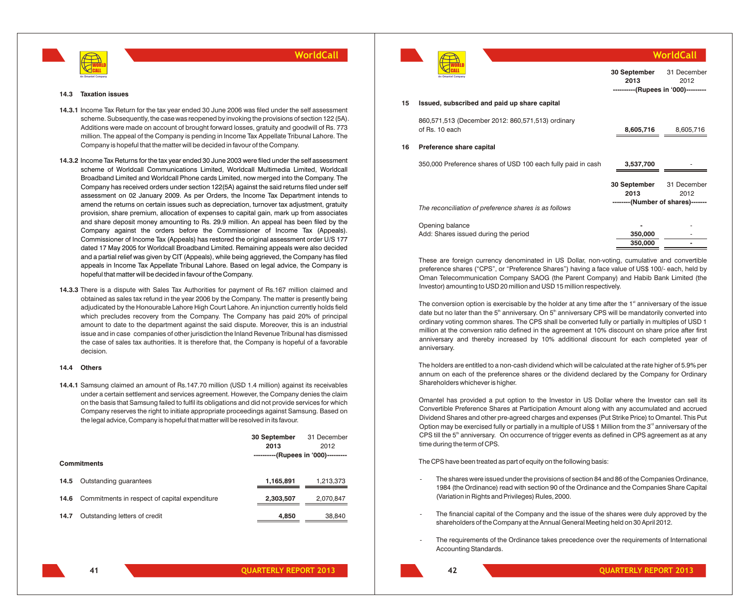

#### **14.3 Taxation issues**

- **14.3.1** Income Tax Return for the tax year ended 30 June 2006 was filed under the self assessment scheme. Subsequently, the case was reopened by invoking the provisions of section 122 (5A). Additions were made on account of brought forward losses, gratuity and goodwill of Rs. 773 million. The appeal of the Company is pending in Income Tax Appellate Tribunal Lahore. The Company is hopeful that the matter will be decided in favour of the Company.
- **14.3.2** Income Tax Returns for the tax year ended 30 June 2003 were filed under the self assessment scheme of Worldcall Communications Limited, Worldcall Multimedia Limited, Worldcall Broadband Limited and Worldcall Phone cards Limited, now merged into the Company. The Company has received orders under section 122(5A) against the said returns filed under self assessment on 02 January 2009. As per Orders, the Income Tax Department intends to amend the returns on certain issues such as depreciation, turnover tax adjustment, gratuity provision, share premium, allocation of expenses to capital gain, mark up from associates and share deposit money amounting to Rs. 29.9 million. An appeal has been filed by the Company against the orders before the Commissioner of Income Tax (Appeals). Commissioner of Income Tax (Appeals) has restored the original assessment order U/S 177 dated 17 May 2005 for Worldcall Broadband Limited. Remaining appeals were also decided and a partial relief was given by CIT (Appeals), while being aggrieved, the Company has filed appeals in Income Tax Appellate Tribunal Lahore. Based on legal advice, the Company is hopeful that matter will be decided in favour of the Company.
- **14.3.3** There is a dispute with Sales Tax Authorities for payment of Rs.167 million claimed and obtained as sales tax refund in the year 2006 by the Company. The matter is presently being adjudicated by the Honourable Lahore High Court Lahore. An injunction currently holds field which precludes recovery from the Company. The Company has paid 20% of principal amount to date to the department against the said dispute. Moreover, this is an industrial issue and in case companies of other jurisdiction the Inland Revenue Tribunal has dismissed the case of sales tax authorities. It is therefore that, the Company is hopeful of a favorable decision.

### **14.4 Others**

**14.4.1** Samsung claimed an amount of Rs.147.70 million (USD 1.4 million) against its receivables under a certain settlement and services agreement. However, the Company denies the claim on the basis that Samsung failed to fulfil its obligations and did not provide services for which Company reserves the right to initiate appropriate proceedings against Samsung. Based on the legal advice, Company is hopeful that matter will be resolved in its favour.

|      |                                               | 30 September                        | 31 December |
|------|-----------------------------------------------|-------------------------------------|-------------|
|      |                                               | 2013                                | 2012        |
|      |                                               | ----------(Rupees in '000)--------- |             |
|      | <b>Commitments</b>                            |                                     |             |
| 14.5 | Outstanding quarantees                        | 1,165,891                           | 1,213,373   |
| 14.6 | Commitments in respect of capital expenditure | 2,303,507                           | 2,070,847   |
| 14.7 | Outstanding letters of credit                 | 4,850                               | 38,840      |



|    | An Omantel Company                                                  | 30 September<br>2013<br>----------(Rupees in '000)--------- | 31 December<br>2012 |
|----|---------------------------------------------------------------------|-------------------------------------------------------------|---------------------|
| 15 | Issued, subscribed and paid up share capital                        |                                                             |                     |
|    | 860,571,513 (December 2012: 860,571,513) ordinary<br>of Rs. 10 each | 8,605,716                                                   | 8,605,716           |
| 16 | Preference share capital                                            |                                                             |                     |
|    | 350,000 Preference shares of USD 100 each fully paid in cash        | 3,537,700                                                   |                     |
|    |                                                                     | 30 September<br>2013<br>--------(Number of shares)-------   | 31 December<br>2012 |
|    | The reconciliation of preference shares is as follows               |                                                             |                     |
|    | Opening balance<br>Add: Shares issued during the period             | 350,000<br>350,000                                          |                     |

**WorldCall**

These are foreign currency denominated in US Dollar, non-voting, cumulative and convertible preference shares ("CPS", or "Preference Shares") having a face value of US\$ 100/- each, held by Oman Telecommunication Company SAOG (the Parent Company) and Habib Bank Limited (the Investor) amounting to USD 20 million and USD 15 million respectively.

The conversion option is exercisable by the holder at any time after the  $1<sup>st</sup>$  anniversary of the issue date but no later than the  $5<sup>th</sup>$  anniversary. On  $5<sup>th</sup>$  anniversary CPS will be mandatorily converted into ordinary voting common shares. The CPS shall be converted fully or partially in multiples of USD 1 million at the conversion ratio defined in the agreement at 10% discount on share price after first anniversary and thereby increased by 10% additional discount for each completed year of anniversary.

The holders are entitled to a non-cash dividend which will be calculated at the rate higher of 5.9% per annum on each of the preference shares or the dividend declared by the Company for Ordinary Shareholders whichever is higher.

Omantel has provided a put option to the Investor in US Dollar where the Investor can sell its Convertible Preference Shares at Participation Amount along with any accumulated and accrued Dividend Shares and other pre-agreed charges and expenses (Put Strike Price) to Omantel. This Put Option may be exercised fully or partially in a multiple of US\$ 1 Million from the  $3<sup>rd</sup>$  anniversary of the CPS till the 5<sup>th</sup> anniversary. On occurrence of trigger events as defined in CPS agreement as at any time during the term of CPS.

The CPS have been treated as part of equity on the following basis:

- The shares were issued under the provisions of section 84 and 86 of the Companies Ordinance, 1984 (the Ordinance) read with section 90 of the Ordinance and the Companies Share Capital (Variation in Rights and Privileges) Rules, 2000.
- The financial capital of the Company and the issue of the shares were duly approved by the shareholders of the Company at the Annual General Meeting held on 30 April 2012.
- The requirements of the Ordinance takes precedence over the requirements of International Accounting Standards.

**41**

**42**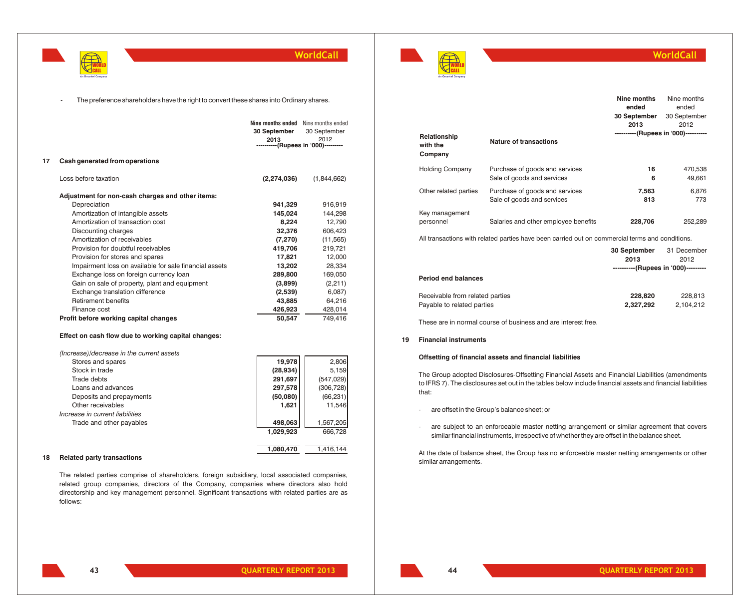

The preference shareholders have the right to convert these shares into Ordinary shares.

|    |                                                        | Nine months ended<br>30 September<br>2013<br>----------(Rupees in '000)--------- | Nine months ended<br>30 September<br>2012 |
|----|--------------------------------------------------------|----------------------------------------------------------------------------------|-------------------------------------------|
| 17 | Cash generated from operations                         |                                                                                  |                                           |
|    | Loss before taxation                                   | (2,274,036)                                                                      | (1,844,662)                               |
|    | Adjustment for non-cash charges and other items:       |                                                                                  |                                           |
|    | Depreciation                                           | 941,329                                                                          | 916,919                                   |
|    | Amortization of intangible assets                      | 145,024                                                                          | 144,298                                   |
|    | Amortization of transaction cost                       | 8,224                                                                            | 12,790                                    |
|    | Discounting charges                                    | 32,376                                                                           | 606,423                                   |
|    | Amortization of receivables                            | (7, 270)                                                                         | (11, 565)                                 |
|    | Provision for doubtful receivables                     | 419,706                                                                          | 219,721                                   |
|    | Provision for stores and spares                        | 17,821                                                                           | 12,000                                    |
|    | Impairment loss on available for sale financial assets | 13,202                                                                           | 28,334                                    |
|    | Exchange loss on foreign currency loan                 | 289,800                                                                          | 169,050                                   |
|    | Gain on sale of property, plant and equipment          | (3,899)                                                                          | (2, 211)                                  |
|    | Exchange translation difference                        | (2,539)                                                                          | 6,087                                     |
|    | Retirement benefits                                    | 43,885                                                                           | 64,216                                    |
|    | Finance cost                                           | 426,923                                                                          | 428,014                                   |
|    | Profit before working capital changes                  | 50,547                                                                           | 749,416                                   |
|    |                                                        |                                                                                  |                                           |

### **Effect on cash flow due to working capital changes:**

| (Increase)/decrease in the current assets |           |            |
|-------------------------------------------|-----------|------------|
| Stores and spares                         | 19,978    | 2,806      |
| Stock in trade                            | (28, 934) | 5,159      |
| Trade debts                               | 291,697   | (547, 029) |
| Loans and advances                        | 297,578   | (306, 728) |
| Deposits and prepayments                  | (50,080)  | (66, 231)  |
| Other receivables                         | 1,621     | 11,546     |
| Increase in current liabilities           |           |            |
| Trade and other payables                  | 498,063   | 1,567,205  |
|                                           | 1,029,923 | 666,728    |
|                                           |           |            |
|                                           | 1,080,470 | 1,416,144  |

### **18 Related party transactions**

The related parties comprise of shareholders, foreign subsidiary, local associated companies, related group companies, directors of the Company, companies where directors also hold directorship and key management personnel. Significant transactions with related parties are as follows:



### **WorldCall**

|                                     |                                                              | Nine months<br>ended                 | Nine months<br>ended |
|-------------------------------------|--------------------------------------------------------------|--------------------------------------|----------------------|
|                                     |                                                              | 30 September<br>2013                 | 30 September<br>2012 |
| Relationship<br>with the<br>Company | <b>Nature of transactions</b>                                | ----------(Rupees in '000)---------- |                      |
| <b>Holding Company</b>              | Purchase of goods and services<br>Sale of goods and services | 16<br>6                              | 470,538<br>49.661    |
| Other related parties               | Purchase of goods and services<br>Sale of goods and services | 7,563<br>813                         | 6,876<br>773         |
| Key management<br>personnel         | Salaries and other employee benefits                         | 228,706                              | 252.289              |

All transactions with related parties have been carried out on commercial terms and conditions.

|                                 | 30 September                        | 31 December |
|---------------------------------|-------------------------------------|-------------|
|                                 | 2013                                | 2012        |
|                                 | ----------(Rupees in '000)--------- |             |
| <b>Period end balances</b>      |                                     |             |
| Receivable from related parties | 228,820                             | 228.813     |
| Payable to related parties      | 2,327,292                           | 2,104,212   |

These are in normal course of business and are interest free.

### **19 Financial instruments**

### **Offsetting of financial assets and financial liabilities**

The Group adopted Disclosures-Offsetting Financial Assets and Financial Liabilities (amendments to IFRS 7). The disclosures set out in the tables below include financial assets and financial liabilities that:

- are offset in the Group's balance sheet; or
- are subject to an enforceable master netting arrangement or similar agreement that covers similar financial instruments, irrespective of whether they are offset in the balance sheet.

At the date of balance sheet, the Group has no enforceable master netting arrangements or other similar arrangements.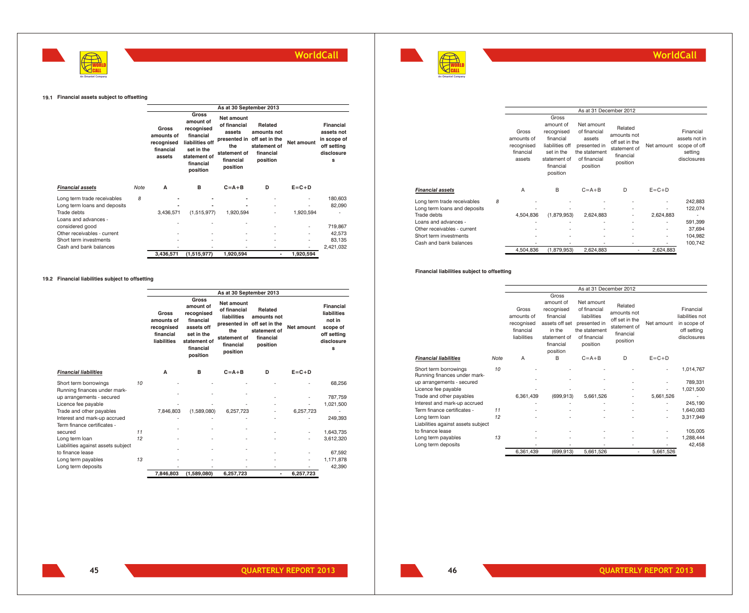



### **WorldCall**

### **19.1 Financial assets subject to offsetting**

|                                     |      |                                                          |                                                                                                                         |                                                                                             | As at 30 September 2013                                                                        |             |                                                                          |  |  |
|-------------------------------------|------|----------------------------------------------------------|-------------------------------------------------------------------------------------------------------------------------|---------------------------------------------------------------------------------------------|------------------------------------------------------------------------------------------------|-------------|--------------------------------------------------------------------------|--|--|
|                                     |      | Gross<br>amounts of<br>recognised<br>financial<br>assets | Gross<br>amount of<br>recognised<br>financial<br>liabilities off<br>set in the<br>statement of<br>financial<br>position | <b>Net amount</b><br>of financial<br>assets<br>the<br>statement of<br>financial<br>position | Related<br>amounts not<br>presented in off set in the<br>statement of<br>financial<br>position | Net amount  | Financial<br>assets not<br>in scope of<br>off setting<br>disclosure<br>s |  |  |
| <b>Financial assets</b>             | Note | A                                                        | в                                                                                                                       | $C = A + B$                                                                                 | D                                                                                              | $E = C + D$ |                                                                          |  |  |
| Long term trade receivables         | 8    |                                                          |                                                                                                                         |                                                                                             |                                                                                                | ٠           | 180,603                                                                  |  |  |
| Long term loans and deposits        |      |                                                          |                                                                                                                         |                                                                                             | ٠                                                                                              |             | 82,090                                                                   |  |  |
| Trade debts<br>Loans and advances - |      | 3,436,571                                                | (1,515,977)                                                                                                             | 1,920,594                                                                                   | ٠                                                                                              | 1,920,594   |                                                                          |  |  |
| considered good                     |      | ٠                                                        |                                                                                                                         |                                                                                             |                                                                                                | ٠           | 719,867                                                                  |  |  |
| Other receivables - current         |      |                                                          |                                                                                                                         |                                                                                             |                                                                                                | ٠           | 42.573                                                                   |  |  |
| Short term investments              |      |                                                          |                                                                                                                         | ٠                                                                                           | ٠                                                                                              | ٠           | 83,135                                                                   |  |  |
| Cash and bank balances              |      |                                                          |                                                                                                                         |                                                                                             | ٠                                                                                              | ۰           | 2,421,032                                                                |  |  |
|                                     |      | 3,436,571                                                | (1,515,977)                                                                                                             | 1,920,594                                                                                   | ٠                                                                                              | 1,920,594   |                                                                          |  |  |

### **19.2 Financial liabilities subject to offsetting**

|                                    |    |                                                               |                                                                                                                    | As at 30 September 2013                                                                   |                                                                                                |             |                                                                                  |
|------------------------------------|----|---------------------------------------------------------------|--------------------------------------------------------------------------------------------------------------------|-------------------------------------------------------------------------------------------|------------------------------------------------------------------------------------------------|-------------|----------------------------------------------------------------------------------|
|                                    |    | Gross<br>amounts of<br>recognised<br>financial<br>liabilities | Gross<br>amount of<br>recognised<br>financial<br>assets off<br>set in the<br>statement of<br>financial<br>position | Net amount<br>of financial<br>liabilities<br>the<br>statement of<br>financial<br>position | Related<br>amounts not<br>presented in off set in the<br>statement of<br>financial<br>position | Net amount  | Financial<br>liabilities<br>not in<br>scope of<br>off setting<br>disclosure<br>s |
| <b>Financial liabilities</b>       |    | A                                                             | B                                                                                                                  | $C = A + B$                                                                               | D                                                                                              | $E = C + D$ |                                                                                  |
| Short term borrowings              | 10 |                                                               |                                                                                                                    |                                                                                           |                                                                                                |             | 68.256                                                                           |
| Running finances under mark-       |    |                                                               |                                                                                                                    |                                                                                           |                                                                                                |             |                                                                                  |
| up arrangements - secured          |    |                                                               |                                                                                                                    |                                                                                           |                                                                                                |             | 787.759                                                                          |
| Licence fee payable                |    |                                                               |                                                                                                                    |                                                                                           |                                                                                                |             | 1,021,500                                                                        |
| Trade and other payables           |    | 7.846.803                                                     | (1.589.080)                                                                                                        | 6.257.723                                                                                 |                                                                                                | 6.257.723   |                                                                                  |
| Interest and mark-up accrued       |    |                                                               |                                                                                                                    |                                                                                           |                                                                                                |             | 249.393                                                                          |
| Term finance certificates -        |    |                                                               |                                                                                                                    |                                                                                           |                                                                                                |             |                                                                                  |
| secured                            | 11 |                                                               |                                                                                                                    |                                                                                           |                                                                                                |             | 1,643,735                                                                        |
| Long term loan                     | 12 |                                                               |                                                                                                                    |                                                                                           |                                                                                                |             | 3,612,320                                                                        |
| Liabilities against assets subject |    |                                                               |                                                                                                                    | ٠                                                                                         |                                                                                                |             |                                                                                  |
| to finance lease                   |    |                                                               |                                                                                                                    |                                                                                           |                                                                                                |             | 67.592                                                                           |
| Long term payables                 | 13 |                                                               |                                                                                                                    |                                                                                           |                                                                                                |             | 1,171,878                                                                        |
| Long term deposits                 |    |                                                               |                                                                                                                    |                                                                                           |                                                                                                |             | 42.390                                                                           |
|                                    |    | 7,846,803                                                     | (1,589,080)                                                                                                        | 6,257,723                                                                                 | ۰                                                                                              | 6,257,723   |                                                                                  |

|                              |   |                                                          |                                                                                                                         | As at 31 December 2012                                                                            |                                                                                   |             |                                                                      |
|------------------------------|---|----------------------------------------------------------|-------------------------------------------------------------------------------------------------------------------------|---------------------------------------------------------------------------------------------------|-----------------------------------------------------------------------------------|-------------|----------------------------------------------------------------------|
|                              |   | Gross<br>amounts of<br>recognised<br>financial<br>assets | Gross<br>amount of<br>recognised<br>financial<br>liabilities off<br>set in the<br>statement of<br>financial<br>position | Net amount<br>of financial<br>assets<br>presented in<br>the statement<br>of financial<br>position | Related<br>amounts not<br>off set in the<br>statement of<br>financial<br>position | Net amount  | Financial<br>assets not in<br>scope of off<br>setting<br>disclosures |
| <b>Financial assets</b>      |   | A                                                        | B                                                                                                                       | $C = A + B$                                                                                       | D                                                                                 | $E = C + D$ |                                                                      |
| Long term trade receivables  | 8 |                                                          |                                                                                                                         |                                                                                                   |                                                                                   |             | 242,883                                                              |
| Long term loans and deposits |   |                                                          |                                                                                                                         |                                                                                                   |                                                                                   |             | 122,074                                                              |
| Trade debts                  |   | 4,504,836                                                | (1,879,953)                                                                                                             | 2,624,883                                                                                         | ٠                                                                                 | 2,624,883   |                                                                      |
| Loans and advances -         |   |                                                          |                                                                                                                         |                                                                                                   | ٠                                                                                 |             | 591,399                                                              |
| Other receivables - current  |   |                                                          |                                                                                                                         |                                                                                                   | ٠                                                                                 | ٠           | 37.694                                                               |
| Short term investments       |   |                                                          |                                                                                                                         |                                                                                                   | ٠                                                                                 |             | 104,982                                                              |
| Cash and bank balances       |   |                                                          |                                                                                                                         |                                                                                                   |                                                                                   |             | 100,742                                                              |
|                              |   | 4,504,836                                                | (1,879,953)                                                                                                             | 2,624,883                                                                                         | ٠                                                                                 | 2,624,883   |                                                                      |

### **Financial liabilities subject to offsetting**

|                                                       |      |                                                               | As at 31 December 2012                                                                                    |                                                                                                        |                                                                                   |             |                                                                           |  |
|-------------------------------------------------------|------|---------------------------------------------------------------|-----------------------------------------------------------------------------------------------------------|--------------------------------------------------------------------------------------------------------|-----------------------------------------------------------------------------------|-------------|---------------------------------------------------------------------------|--|
|                                                       |      |                                                               | Gross                                                                                                     |                                                                                                        |                                                                                   |             |                                                                           |  |
|                                                       |      | Gross<br>amounts of<br>recognised<br>financial<br>liabilities | amount of<br>recognised<br>financial<br>assets off set<br>in the<br>statement of<br>financial<br>position | Net amount<br>of financial<br>liabilities<br>presented in<br>the statement<br>of financial<br>position | Related<br>amounts not<br>off set in the<br>statement of<br>financial<br>position | Net amount  | Financial<br>liabilities not<br>in scope of<br>off setting<br>disclosures |  |
| <b>Financial liabilities</b>                          | Note | A                                                             | B                                                                                                         | $C = A + B$                                                                                            | D                                                                                 | $E = C + D$ |                                                                           |  |
| Short term borrowings<br>Running finances under mark- | 10   |                                                               |                                                                                                           |                                                                                                        |                                                                                   |             | 1,014,767                                                                 |  |
| up arrangements - secured                             |      |                                                               |                                                                                                           |                                                                                                        |                                                                                   |             | 789,331                                                                   |  |
| Licence fee payable                                   |      |                                                               |                                                                                                           |                                                                                                        |                                                                                   |             | 1,021,500                                                                 |  |
| Trade and other payables                              |      | 6,361,439                                                     | (699.913)                                                                                                 | 5,661,526                                                                                              | ٠                                                                                 | 5,661,526   |                                                                           |  |
| Interest and mark-up accrued                          |      |                                                               |                                                                                                           |                                                                                                        | ٠                                                                                 |             | 245,190                                                                   |  |
| Term finance certificates -                           | 11   |                                                               |                                                                                                           |                                                                                                        |                                                                                   | ٠           | 1,640,083                                                                 |  |
| Long term loan                                        | 12   |                                                               |                                                                                                           |                                                                                                        |                                                                                   | ٠           | 3,317,949                                                                 |  |
| Liabilities against assets subject                    |      |                                                               |                                                                                                           |                                                                                                        |                                                                                   |             |                                                                           |  |
| to finance lease                                      |      |                                                               |                                                                                                           |                                                                                                        |                                                                                   |             | 105,005                                                                   |  |
| Long term payables                                    | 13   |                                                               |                                                                                                           |                                                                                                        |                                                                                   |             | 1,288,444                                                                 |  |
| Long term deposits                                    |      |                                                               |                                                                                                           |                                                                                                        |                                                                                   |             | 42,458                                                                    |  |
|                                                       |      | 6,361,439                                                     | (699, 913)                                                                                                | 5,661,526                                                                                              | $\overline{\phantom{a}}$                                                          | 5,661,526   |                                                                           |  |